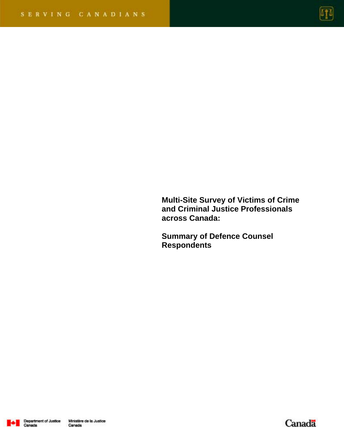

**Multi-Site Survey of Victims of Crime and Criminal Justice Professionals across Canada:** 

**Summary of Defence Counsel Respondents** 



Canada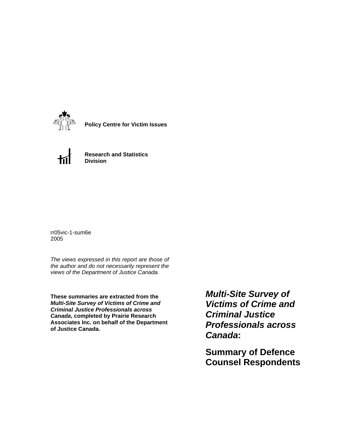

**Policy Centre for Victim Issues**



**Research and Statistics Division**

rr05vic-1-sum6e 2005

*The views expressed in this report are those of the author and do not necessarily represent the views of the Department of Justice Canada.*

**These summaries are extracted from the**  *Multi-Site Survey of Victims of Crime and Criminal Justice Professionals across Canada***, completed by Prairie Research Associates Inc. on behalf of the Department of Justice Canada.**

*Multi-Site Survey of Victims of Crime and Criminal Justice Professionals across Canada***:** 

**Summary of Defence Counsel Respondents**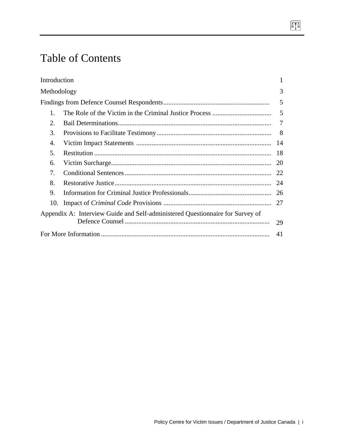# Table of Contents

| Introduction |                                                                               | 1         |
|--------------|-------------------------------------------------------------------------------|-----------|
| Methodology  |                                                                               | 3         |
|              |                                                                               | 5         |
| 1.           |                                                                               |           |
| 2.           |                                                                               | 7         |
| 3.           |                                                                               |           |
| 4.           |                                                                               |           |
| 5.           |                                                                               |           |
| 6.           |                                                                               | <b>20</b> |
| 7.           |                                                                               | 22        |
| 8.           |                                                                               | 24        |
| 9.           |                                                                               |           |
| 10.          |                                                                               |           |
|              | Appendix A: Interview Guide and Self-administered Questionnaire for Survey of |           |
|              |                                                                               | 29        |
|              |                                                                               | 41        |

 $\boxed{1}$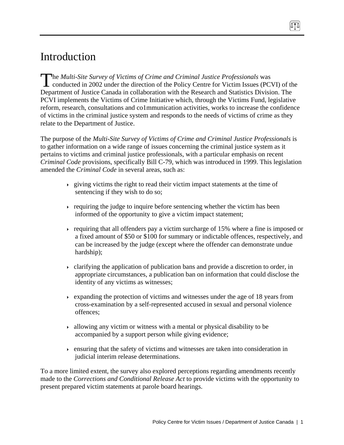# Introduction

he *Multi-Site Survey of Victims of Crime and Criminal Justice Professionals* was The Multi-Site Survey of Victims of Crime and Criminal Justice Professionals was<br>conducted in 2002 under the direction of the Policy Centre for Victim Issues (PCVI) of the Department of Justice Canada in collaboration with the Research and Statistics Division. The PCVI implements the Victims of Crime Initiative which, through the Victims Fund, legislative reform, research, consultations and co1mmunication activities, works to increase the confidence of victims in the criminal justice system and responds to the needs of victims of crime as they relate to the Department of Justice.

The purpose of the *Multi-Site Survey of Victims of Crime and Criminal Justice Professionals* is to gather information on a wide range of issues concerning the criminal justice system as it pertains to victims and criminal justice professionals, with a particular emphasis on recent *Criminal Code* provisions, specifically Bill C-79, which was introduced in 1999. This legislation amended the *Criminal Code* in several areas, such as:

- $\rightarrow$  giving victims the right to read their victim impact statements at the time of sentencing if they wish to do so;
- requiring the judge to inquire before sentencing whether the victim has been informed of the opportunity to give a victim impact statement;
- requiring that all offenders pay a victim surcharge of 15% where a fine is imposed or a fixed amount of \$50 or \$100 for summary or indictable offences, respectively, and can be increased by the judge (except where the offender can demonstrate undue hardship);
- clarifying the application of publication bans and provide a discretion to order, in appropriate circumstances, a publication ban on information that could disclose the identity of any victims as witnesses;
- $\rightarrow$  expanding the protection of victims and witnesses under the age of 18 years from cross-examination by a self-represented accused in sexual and personal violence offences;
- $\rightarrow$  allowing any victim or witness with a mental or physical disability to be accompanied by a support person while giving evidence;
- ensuring that the safety of victims and witnesses are taken into consideration in judicial interim release determinations.

To a more limited extent, the survey also explored perceptions regarding amendments recently made to the *Corrections and Conditional Release Act* to provide victims with the opportunity to present prepared victim statements at parole board hearings.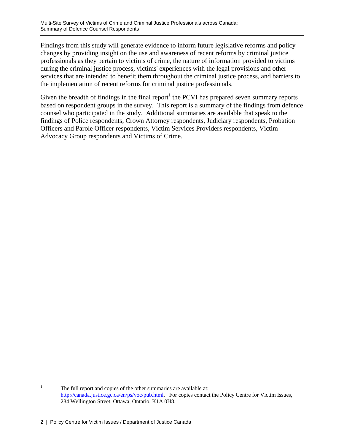Findings from this study will generate evidence to inform future legislative reforms and policy changes by providing insight on the use and awareness of recent reforms by criminal justice professionals as they pertain to victims of crime, the nature of information provided to victims during the criminal justice process, victims' experiences with the legal provisions and other services that are intended to benefit them throughout the criminal justice process, and barriers to the implementation of recent reforms for criminal justice professionals.

Given the breadth of findings in the final report<sup>1</sup> the PCVI has prepared seven summary reports based on respondent groups in the survey. This report is a summary of the findings from defence counsel who participated in the study. Additional summaries are available that speak to the findings of Police respondents, Crown Attorney respondents, Judiciary respondents, Probation Officers and Parole Officer respondents, Victim Services Providers respondents, Victim Advocacy Group respondents and Victims of Crime.

 $\frac{1}{1}$  The full report and copies of the other summaries are available at: http://canada.justice.gc.ca/en/ps/voc/pub.html. For copies contact the Policy Centre for Victim Issues, 284 Wellington Street, Ottawa, Ontario, K1A 0H8.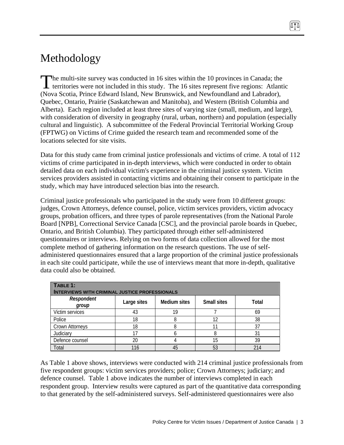# Methodology

he multi-site survey was conducted in 16 sites within the 10 provinces in Canada; the territories were not included in this study. The 16 sites represent five regions: Atlantic (Nova Scotia, Prince Edward Island, New Brunswick, and Newfoundland and Labrador), Quebec, Ontario, Prairie (Saskatchewan and Manitoba), and Western (British Columbia and Alberta). Each region included at least three sites of varying size (small, medium, and large), with consideration of diversity in geography (rural, urban, northern) and population (especially cultural and linguistic). A subcommittee of the Federal Provincial Territorial Working Group (FPTWG) on Victims of Crime guided the research team and recommended some of the locations selected for site visits.  $\int_{0}^{\frac{h}{t}}$ 

Data for this study came from criminal justice professionals and victims of crime. A total of 112 victims of crime participated in in-depth interviews, which were conducted in order to obtain detailed data on each individual victim's experience in the criminal justice system. Victim services providers assisted in contacting victims and obtaining their consent to participate in the study, which may have introduced selection bias into the research.

Criminal justice professionals who participated in the study were from 10 different groups: judges, Crown Attorneys, defence counsel, police, victim services providers, victim advocacy groups, probation officers, and three types of parole representatives (from the National Parole Board [NPB], Correctional Service Canada [CSC], and the provincial parole boards in Quebec, Ontario, and British Columbia). They participated through either self-administered questionnaires or interviews. Relying on two forms of data collection allowed for the most complete method of gathering information on the research questions. The use of selfadministered questionnaires ensured that a large proportion of the criminal justice professionals in each site could participate, while the use of interviews meant that more in-depth, qualitative data could also be obtained.

| TABLE 1:<br><b>INTERVIEWS WITH CRIMINAL JUSTICE PROFESSIONALS</b>                        |     |    |    |     |  |  |  |
|------------------------------------------------------------------------------------------|-----|----|----|-----|--|--|--|
| Respondent<br><b>Medium sites</b><br><b>Small sites</b><br>Large sites<br>Total<br>group |     |    |    |     |  |  |  |
| Victim services                                                                          | 43  | 19 |    | 69  |  |  |  |
| Police                                                                                   | 18  |    | 12 | 38  |  |  |  |
| <b>Crown Attorneys</b>                                                                   | 18  |    |    | 37  |  |  |  |
| Judiciary                                                                                |     |    |    | 31  |  |  |  |
| Defence counsel                                                                          | 20  |    | 15 | 39  |  |  |  |
| Total                                                                                    | 116 | 45 | 53 | 214 |  |  |  |

As Table 1 above shows, interviews were conducted with 214 criminal justice professionals from five respondent groups: victim services providers; police; Crown Attorneys; judiciary; and defence counsel. Table 1 above indicates the number of interviews completed in each respondent group. Interview results were captured as part of the quantitative data corresponding to that generated by the self-administered surveys. Self-administered questionnaires were also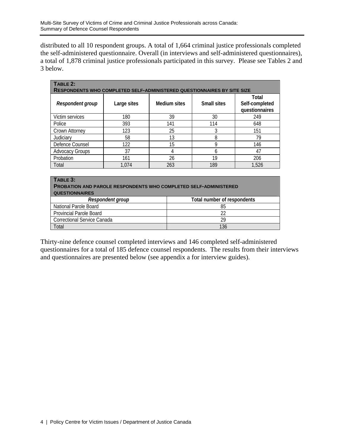distributed to all 10 respondent groups. A total of 1,664 criminal justice professionals completed the self-administered questionnaire. Overall (in interviews and self-administered questionnaires), a total of 1,878 criminal justice professionals participated in this survey. Please see Tables 2 and 3 below.

| TABLE 2:<br><b>RESPONDENTS WHO COMPLETED SELF-ADMINISTERED QUESTIONNAIRES BY SITE SIZE</b> |             |              |                    |                                           |  |  |
|--------------------------------------------------------------------------------------------|-------------|--------------|--------------------|-------------------------------------------|--|--|
| Respondent group                                                                           | Large sites | Medium sites | <b>Small sites</b> | Total<br>Self-completed<br>questionnaires |  |  |
| Victim services                                                                            | 180         | 39           | 30                 | 249                                       |  |  |
| Police                                                                                     | 393         | 141          | 114                | 648                                       |  |  |
| Crown Attorney                                                                             | 123         | 25           | 3                  | 151                                       |  |  |
| Judiciary                                                                                  | 58          | 13           | 8                  | 79                                        |  |  |
| Defence Counsel                                                                            | 122         | 15           | 9                  | 146                                       |  |  |
| <b>Advocacy Groups</b>                                                                     | 37          | 4            | 6                  | 47                                        |  |  |
| Probation                                                                                  | 161         | 26           | 19                 | 206                                       |  |  |
| Total                                                                                      | 1.074       | 263          | 189                | 1,526                                     |  |  |

| TABLE 3: |  |
|----------|--|
|          |  |
|          |  |

| <b>PROBATION AND PAROLE RESPONDENTS WHO COMPLETED SELF-ADMINISTERED</b> |                            |  |  |  |  |
|-------------------------------------------------------------------------|----------------------------|--|--|--|--|
| <b>QUESTIONNAIRES</b>                                                   |                            |  |  |  |  |
| Decondent aroun                                                         | Total number of recononden |  |  |  |  |

| Respondent group               | Total number of respondents |
|--------------------------------|-----------------------------|
| National Parole Board          | 85                          |
| <b>Provincial Parole Board</b> |                             |
| Correctional Service Canada    | 29                          |
| Total                          | 136                         |

Thirty-nine defence counsel completed interviews and 146 completed self-administered questionnaires for a total of 185 defence counsel respondents. The results from their interviews and questionnaires are presented below (see appendix a for interview guides).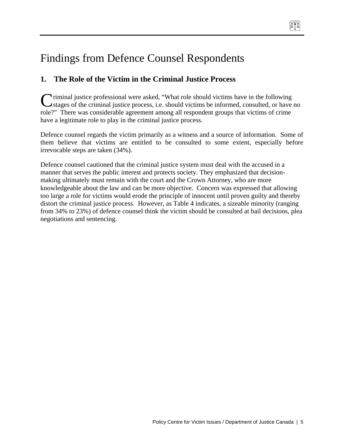# Findings from Defence Counsel Respondents

## **1. The Role of the Victim in the Criminal Justice Process**

**Triminal justice professional were asked, "What role should victims have in the following** Criminal justice professional were asked, "What role should victims have in the following stages of the criminal justice process, i.e. should victims be informed, consulted, or have no role?" There was considerable agreement among all respondent groups that victims of crime have a legitimate role to play in the criminal justice process.

Defence counsel regards the victim primarily as a witness and a source of information. Some of them believe that victims are entitled to be consulted to some extent, especially before irrevocable steps are taken (34%).

Defence counsel cautioned that the criminal justice system must deal with the accused in a manner that serves the public interest and protects society. They emphasized that decisionmaking ultimately must remain with the court and the Crown Attorney, who are more knowledgeable about the law and can be more objective. Concern was expressed that allowing too large a role for victims would erode the principle of innocent until proven guilty and thereby distort the criminal justice process. However, as Table 4 indicates, a sizeable minority (ranging from 34% to 23%) of defence counsel think the victim should be consulted at bail decisions, plea negotiations and sentencing.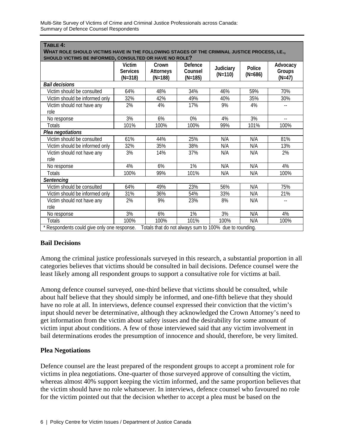| TABLE 4:                                                                                                                                               |                                        |                                        |                                 |                        |                     |                                |
|--------------------------------------------------------------------------------------------------------------------------------------------------------|----------------------------------------|----------------------------------------|---------------------------------|------------------------|---------------------|--------------------------------|
| WHAT ROLE SHOULD VICTIMS HAVE IN THE FOLLOWING STAGES OF THE CRIMINAL JUSTICE PROCESS, I.E.,<br>SHOULD VICTIMS BE INFORMED, CONSULTED OR HAVE NO ROLE? |                                        |                                        |                                 |                        |                     |                                |
|                                                                                                                                                        | Victim<br><b>Services</b><br>$(N=318)$ | Crown<br><b>Attorneys</b><br>$(N=188)$ | Defence<br>Counsel<br>$(N=185)$ | Judiciary<br>$(N=110)$ | Police<br>$(N=686)$ | Advocacy<br>Groups<br>$(N=47)$ |
| <b>Bail decisions</b>                                                                                                                                  |                                        |                                        |                                 |                        |                     |                                |
| Victim should be consulted                                                                                                                             | 64%                                    | 48%                                    | 34%                             | 46%                    | 59%                 | 70%                            |
| Victim should be informed only                                                                                                                         | 32%                                    | 42%                                    | 49%                             | 40%                    | 35%                 | 30%                            |
| Victim should not have any<br>role                                                                                                                     | 2%                                     | 4%                                     | 17%                             | 9%                     | 4%                  | $-$                            |
| No response                                                                                                                                            | 3%                                     | 6%                                     | 0%                              | 4%                     | 3%                  | $\overline{\phantom{a}}$ .     |
| <b>Totals</b>                                                                                                                                          | 101%                                   | 100%                                   | 100%                            | 99%                    | 101%                | 100%                           |
| Plea negotiations                                                                                                                                      |                                        |                                        |                                 |                        |                     |                                |
| Victim should be consulted                                                                                                                             | 61%                                    | 44%                                    | 25%                             | N/A                    | N/A                 | 81%                            |
| Victim should be informed only                                                                                                                         | 32%                                    | 35%                                    | 38%                             | N/A                    | N/A                 | 13%                            |
| Victim should not have any<br>role                                                                                                                     | 3%                                     | 14%                                    | 37%                             | N/A                    | N/A                 | 2%                             |
| No response                                                                                                                                            | 4%                                     | 6%                                     | 1%                              | N/A                    | N/A                 | 4%                             |
| <b>Totals</b>                                                                                                                                          | 100%                                   | 99%                                    | 101%                            | N/A                    | N/A                 | 100%                           |
| Sentencing                                                                                                                                             |                                        |                                        |                                 |                        |                     |                                |
| Victim should be consulted                                                                                                                             | 64%                                    | 49%                                    | 23%                             | 56%                    | N/A                 | 75%                            |
| Victim should be informed only                                                                                                                         | 31%                                    | 36%                                    | 54%                             | 33%                    | N/A                 | 21%                            |
| Victim should not have any<br>role                                                                                                                     | 2%                                     | 9%                                     | 23%                             | 8%                     | N/A                 |                                |
| No response                                                                                                                                            | 3%                                     | 6%                                     | 1%                              | 3%                     | N/A                 | 4%                             |
| <b>Totals</b>                                                                                                                                          | 100%                                   | 100%                                   | 101%                            | 100%                   | N/A                 | 100%                           |
| * Respondents could give only one response.<br>Totals that do not always sum to 100% due to rounding.                                                  |                                        |                                        |                                 |                        |                     |                                |

## **Bail Decisions**

Among the criminal justice professionals surveyed in this research, a substantial proportion in all categories believes that victims should be consulted in bail decisions. Defence counsel were the least likely among all respondent groups to support a consultative role for victims at bail.

Among defence counsel surveyed, one-third believe that victims should be consulted, while about half believe that they should simply be informed, and one-fifth believe that they should have no role at all. In interviews, defence counsel expressed their conviction that the victim's input should never be determinative, although they acknowledged the Crown Attorney's need to get information from the victim about safety issues and the desirability for some amount of victim input about conditions. A few of those interviewed said that any victim involvement in bail determinations erodes the presumption of innocence and should, therefore, be very limited.

#### **Plea Negotiations**

Defence counsel are the least prepared of the respondent groups to accept a prominent role for victims in plea negotiations. One-quarter of those surveyed approve of consulting the victim, whereas almost 40% support keeping the victim informed, and the same proportion believes that the victim should have no role whatsoever. In interviews, defence counsel who favoured no role for the victim pointed out that the decision whether to accept a plea must be based on the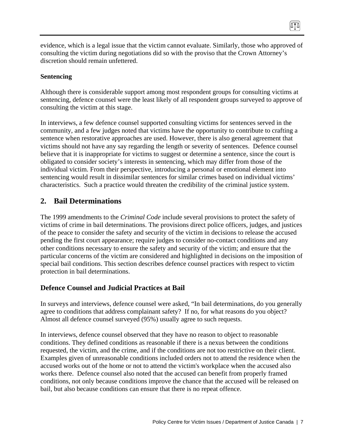evidence, which is a legal issue that the victim cannot evaluate. Similarly, those who approved of consulting the victim during negotiations did so with the proviso that the Crown Attorney's discretion should remain unfettered.

(ITA)

#### **Sentencing**

Although there is considerable support among most respondent groups for consulting victims at sentencing, defence counsel were the least likely of all respondent groups surveyed to approve of consulting the victim at this stage.

In interviews, a few defence counsel supported consulting victims for sentences served in the community, and a few judges noted that victims have the opportunity to contribute to crafting a sentence when restorative approaches are used. However, there is also general agreement that victims should not have any say regarding the length or severity of sentences. Defence counsel believe that it is inappropriate for victims to suggest or determine a sentence, since the court is obligated to consider society's interests in sentencing, which may differ from those of the individual victim. From their perspective, introducing a personal or emotional element into sentencing would result in dissimilar sentences for similar crimes based on individual victims' characteristics. Such a practice would threaten the credibility of the criminal justice system.

## **2. Bail Determinations**

The 1999 amendments to the *Criminal Code* include several provisions to protect the safety of victims of crime in bail determinations. The provisions direct police officers, judges, and justices of the peace to consider the safety and security of the victim in decisions to release the accused pending the first court appearance; require judges to consider no-contact conditions and any other conditions necessary to ensure the safety and security of the victim; and ensure that the particular concerns of the victim are considered and highlighted in decisions on the imposition of special bail conditions. This section describes defence counsel practices with respect to victim protection in bail determinations.

## **Defence Counsel and Judicial Practices at Bail**

In surveys and interviews, defence counsel were asked, "In bail determinations, do you generally agree to conditions that address complainant safety? If no, for what reasons do you object? Almost all defence counsel surveyed (95%) usually agree to such requests.

In interviews, defence counsel observed that they have no reason to object to reasonable conditions. They defined conditions as reasonable if there is a nexus between the conditions requested, the victim, and the crime, and if the conditions are not too restrictive on their client. Examples given of unreasonable conditions included orders not to attend the residence when the accused works out of the home or not to attend the victim's workplace when the accused also works there. Defence counsel also noted that the accused can benefit from properly framed conditions, not only because conditions improve the chance that the accused will be released on bail, but also because conditions can ensure that there is no repeat offence.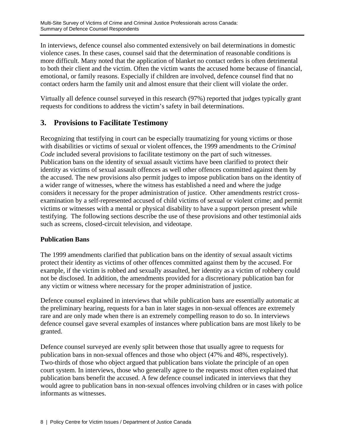In interviews, defence counsel also commented extensively on bail determinations in domestic violence cases. In these cases, counsel said that the determination of reasonable conditions is more difficult. Many noted that the application of blanket no contact orders is often detrimental to both their client and the victim. Often the victim wants the accused home because of financial, emotional, or family reasons. Especially if children are involved, defence counsel find that no contact orders harm the family unit and almost ensure that their client will violate the order.

Virtually all defence counsel surveyed in this research (97%) reported that judges typically grant requests for conditions to address the victim's safety in bail determinations.

## **3. Provisions to Facilitate Testimony**

Recognizing that testifying in court can be especially traumatizing for young victims or those with disabilities or victims of sexual or violent offences, the 1999 amendments to the *Criminal Code* included several provisions to facilitate testimony on the part of such witnesses. Publication bans on the identity of sexual assault victims have been clarified to protect their identity as victims of sexual assault offences as well other offences committed against them by the accused. The new provisions also permit judges to impose publication bans on the identity of a wider range of witnesses, where the witness has established a need and where the judge considers it necessary for the proper administration of justice. Other amendments restrict crossexamination by a self-represented accused of child victims of sexual or violent crime; and permit victims or witnesses with a mental or physical disability to have a support person present while testifying. The following sections describe the use of these provisions and other testimonial aids such as screens, closed-circuit television, and videotape.

## **Publication Bans**

The 1999 amendments clarified that publication bans on the identity of sexual assault victims protect their identity as victims of other offences committed against them by the accused. For example, if the victim is robbed and sexually assaulted, her identity as a victim of robbery could not be disclosed. In addition, the amendments provided for a discretionary publication ban for any victim or witness where necessary for the proper administration of justice.

Defence counsel explained in interviews that while publication bans are essentially automatic at the preliminary hearing, requests for a ban in later stages in non-sexual offences are extremely rare and are only made when there is an extremely compelling reason to do so. In interviews defence counsel gave several examples of instances where publication bans are most likely to be granted.

Defence counsel surveyed are evenly split between those that usually agree to requests for publication bans in non-sexual offences and those who object (47% and 48%, respectively). Two-thirds of those who object argued that publication bans violate the principle of an open court system. In interviews, those who generally agree to the requests most often explained that publication bans benefit the accused. A few defence counsel indicated in interviews that they would agree to publication bans in non-sexual offences involving children or in cases with police informants as witnesses.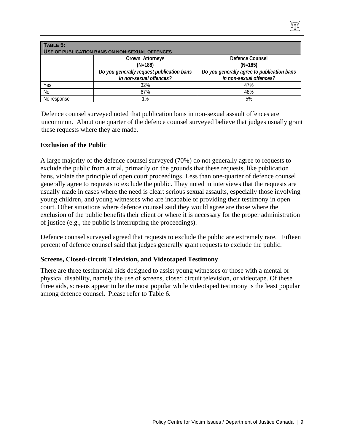| TABLE 5:<br>USE OF PUBLICATION BANS ON NON-SEXUAL OFFENCES |                                                                      |                                                                       |  |  |  |
|------------------------------------------------------------|----------------------------------------------------------------------|-----------------------------------------------------------------------|--|--|--|
|                                                            | Crown Attorneys<br>$(N=188)$                                         | Defence Counsel<br>$(N=185)$                                          |  |  |  |
|                                                            | Do you generally request publication bans<br>in non-sexual offences? | Do you generally agree to publication bans<br>in non-sexual offences? |  |  |  |
| Yes                                                        | 32%                                                                  | 47%                                                                   |  |  |  |
| No                                                         | 67%                                                                  | 48%                                                                   |  |  |  |
| No response                                                | 1%                                                                   | 5%                                                                    |  |  |  |

Defence counsel surveyed noted that publication bans in non-sexual assault offences are uncommon. About one quarter of the defence counsel surveyed believe that judges usually grant these requests where they are made.

#### **Exclusion of the Public**

A large majority of the defence counsel surveyed (70%) do not generally agree to requests to exclude the public from a trial, primarily on the grounds that these requests, like publication bans, violate the principle of open court proceedings. Less than one-quarter of defence counsel generally agree to requests to exclude the public. They noted in interviews that the requests are usually made in cases where the need is clear: serious sexual assaults, especially those involving young children, and young witnesses who are incapable of providing their testimony in open court. Other situations where defence counsel said they would agree are those where the exclusion of the public benefits their client or where it is necessary for the proper administration of justice (e.g., the public is interrupting the proceedings).

Defence counsel surveyed agreed that requests to exclude the public are extremely rare. Fifteen percent of defence counsel said that judges generally grant requests to exclude the public.

#### **Screens, Closed-circuit Television, and Videotaped Testimony**

There are three testimonial aids designed to assist young witnesses or those with a mental or physical disability, namely the use of screens, closed circuit television, or videotape. Of these three aids, screens appear to be the most popular while videotaped testimony is the least popular among defence counsel**.** Please refer to Table 6.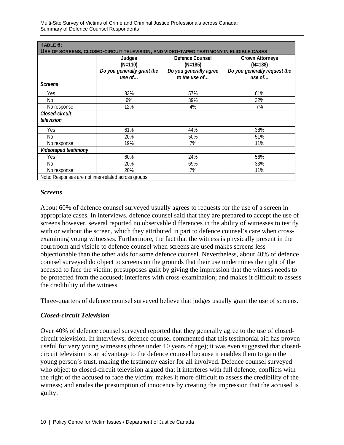Multi-Site Survey of Victims of Crime and Criminal Justice Professionals across Canada: Summary of Defence Counsel Respondents

| TABLE 6:                                            |                                                                                        |                                                        |                                                                     |
|-----------------------------------------------------|----------------------------------------------------------------------------------------|--------------------------------------------------------|---------------------------------------------------------------------|
|                                                     | USE OF SCREENS, CLOSED-CIRCUIT TELEVISION, AND VIDEO-TAPED TESTIMONY IN ELIGIBLE CASES |                                                        |                                                                     |
|                                                     | Judges<br>$(N=110)$<br>Do you generally grant the                                      | Defence Counsel<br>$(N=185)$<br>Do you generally agree | <b>Crown Attorneys</b><br>$(N=188)$<br>Do you generally request the |
|                                                     | use of                                                                                 | to the use of                                          | use of                                                              |
| <b>Screens</b>                                      |                                                                                        |                                                        |                                                                     |
| Yes                                                 | 83%                                                                                    | 57%                                                    | 61%                                                                 |
| No                                                  | 6%                                                                                     | 39%                                                    | 32%                                                                 |
| No response                                         | 12%                                                                                    | 4%                                                     | 7%                                                                  |
| Closed-circuit<br>television                        |                                                                                        |                                                        |                                                                     |
| Yes                                                 | 61%                                                                                    | 44%                                                    | 38%                                                                 |
| No                                                  | 20%                                                                                    | 50%                                                    | 51%                                                                 |
| No response                                         | 19%                                                                                    | 7%                                                     | 11%                                                                 |
| Videotaped testimony                                |                                                                                        |                                                        |                                                                     |
| Yes                                                 | 60%                                                                                    | 24%                                                    | 56%                                                                 |
| No                                                  | 20%                                                                                    | 69%                                                    | 33%                                                                 |
| No response                                         | 20%                                                                                    | 7%                                                     | 11%                                                                 |
| Note: Pernanses are not inter related across groups |                                                                                        |                                                        |                                                                     |

Note: Responses are not inter-related across groups

#### *Screens*

About 60% of defence counsel surveyed usually agrees to requests for the use of a screen in appropriate cases. In interviews, defence counsel said that they are prepared to accept the use of screens however, several reported no observable differences in the ability of witnesses to testify with or without the screen, which they attributed in part to defence counsel's care when crossexamining young witnesses. Furthermore, the fact that the witness is physically present in the courtroom and visible to defence counsel when screens are used makes screens less objectionable than the other aids for some defence counsel. Nevertheless, about 40% of defence counsel surveyed do object to screens on the grounds that their use undermines the right of the accused to face the victim; presupposes guilt by giving the impression that the witness needs to be protected from the accused; interferes with cross-examination; and makes it difficult to assess the credibility of the witness.

Three-quarters of defence counsel surveyed believe that judges usually grant the use of screens.

#### *Closed-circuit Television*

Over 40% of defence counsel surveyed reported that they generally agree to the use of closedcircuit television. In interviews, defence counsel commented that this testimonial aid has proven useful for very young witnesses (those under 10 years of age); it was even suggested that closedcircuit television is an advantage to the defence counsel because it enables them to gain the young person's trust, making the testimony easier for all involved. Defence counsel surveyed who object to closed-circuit television argued that it interferes with full defence; conflicts with the right of the accused to face the victim; makes it more difficult to assess the credibility of the witness; and erodes the presumption of innocence by creating the impression that the accused is guilty.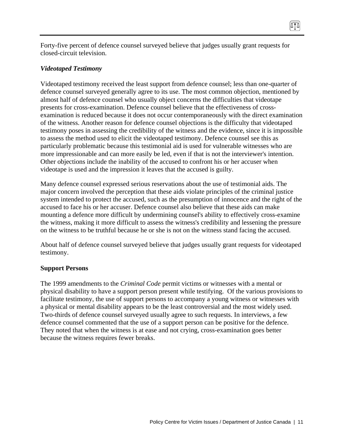Forty-five percent of defence counsel surveyed believe that judges usually grant requests for closed-circuit television.

(ATA)

#### *Videotaped Testimony*

Videotaped testimony received the least support from defence counsel; less than one-quarter of defence counsel surveyed generally agree to its use. The most common objection, mentioned by almost half of defence counsel who usually object concerns the difficulties that videotape presents for cross-examination. Defence counsel believe that the effectiveness of crossexamination is reduced because it does not occur contemporaneously with the direct examination of the witness. Another reason for defence counsel objections is the difficulty that videotaped testimony poses in assessing the credibility of the witness and the evidence, since it is impossible to assess the method used to elicit the videotaped testimony. Defence counsel see this as particularly problematic because this testimonial aid is used for vulnerable witnesses who are more impressionable and can more easily be led, even if that is not the interviewer's intention. Other objections include the inability of the accused to confront his or her accuser when videotape is used and the impression it leaves that the accused is guilty.

Many defence counsel expressed serious reservations about the use of testimonial aids. The major concern involved the perception that these aids violate principles of the criminal justice system intended to protect the accused, such as the presumption of innocence and the right of the accused to face his or her accuser. Defence counsel also believe that these aids can make mounting a defence more difficult by undermining counsel's ability to effectively cross-examine the witness, making it more difficult to assess the witness's credibility and lessening the pressure on the witness to be truthful because he or she is not on the witness stand facing the accused.

About half of defence counsel surveyed believe that judges usually grant requests for videotaped testimony.

#### **Support Persons**

The 1999 amendments to the *Criminal Code* permit victims or witnesses with a mental or physical disability to have a support person present while testifying. Of the various provisions to facilitate testimony, the use of support persons to accompany a young witness or witnesses with a physical or mental disability appears to be the least controversial and the most widely used. Two-thirds of defence counsel surveyed usually agree to such requests. In interviews, a few defence counsel commented that the use of a support person can be positive for the defence. They noted that when the witness is at ease and not crying, cross-examination goes better because the witness requires fewer breaks.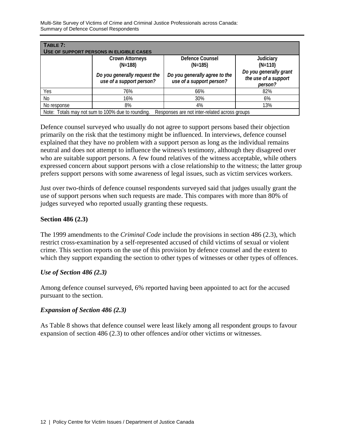Multi-Site Survey of Victims of Crime and Criminal Justice Professionals across Canada: Summary of Defence Counsel Respondents

| TABLE 7:<br>USE OF SUPPORT PERSONS IN ELIGIBLE CASES                                               |                                                          |                                                           |                                                           |  |  |  |
|----------------------------------------------------------------------------------------------------|----------------------------------------------------------|-----------------------------------------------------------|-----------------------------------------------------------|--|--|--|
| Defence Counsel<br><b>Crown Attorneys</b><br>Judiciary<br>$(N=188)$<br>$(N=185)$<br>$(N=110)$      |                                                          |                                                           |                                                           |  |  |  |
|                                                                                                    | Do you generally request the<br>use of a support person? | Do you generally agree to the<br>use of a support person? | Do you generally grant<br>the use of a support<br>person? |  |  |  |
| Yes                                                                                                | 76%                                                      | 66%                                                       | 82%                                                       |  |  |  |
| No                                                                                                 | 16%                                                      | 30%                                                       | 6%                                                        |  |  |  |
| No response                                                                                        | 8%                                                       | 4%                                                        | 13%                                                       |  |  |  |
| Note: Totals may not sum to 100% due to rounding.<br>Responses are not inter-related across groups |                                                          |                                                           |                                                           |  |  |  |

Defence counsel surveyed who usually do not agree to support persons based their objection primarily on the risk that the testimony might be influenced. In interviews, defence counsel explained that they have no problem with a support person as long as the individual remains neutral and does not attempt to influence the witness's testimony, although they disagreed over who are suitable support persons. A few found relatives of the witness acceptable, while others expressed concern about support persons with a close relationship to the witness; the latter group prefers support persons with some awareness of legal issues, such as victim services workers.

Just over two-thirds of defence counsel respondents surveyed said that judges usually grant the use of support persons when such requests are made. This compares with more than 80% of judges surveyed who reported usually granting these requests.

#### **Section 486 (2.3)**

The 1999 amendments to the *Criminal Code* include the provisions in section 486 (2.3), which restrict cross-examination by a self-represented accused of child victims of sexual or violent crime. This section reports on the use of this provision by defence counsel and the extent to which they support expanding the section to other types of witnesses or other types of offences.

#### *Use of Section 486 (2.3)*

Among defence counsel surveyed, 6% reported having been appointed to act for the accused pursuant to the section.

#### *Expansion of Section 486 (2.3)*

As Table 8 shows that defence counsel were least likely among all respondent groups to favour expansion of section 486 (2.3) to other offences and/or other victims or witnesses.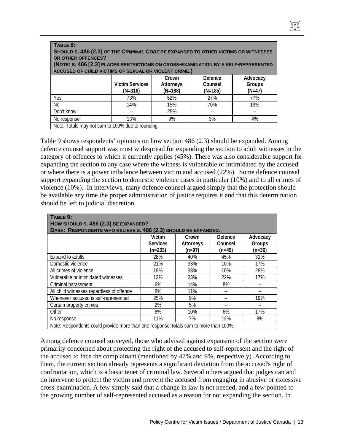| TABLE 8:<br>SHOULD S. 486 (2.3) OF THE CRIMINAL CODE BE EXPANDED TO OTHER VICTIMS OR WITNESSES<br>OR OTHER OFFENCES?<br>(NOTE: S. 486 [2.3] PLACES RESTRICTIONS ON CROSS-EXAMINATION BY A SELF-REPRESENTED<br>ACCUSED OF CHILD VICTIMS OF SEXUAL OR VIOLENT CRIME.) |                          |     |     |     |  |  |  |  |
|---------------------------------------------------------------------------------------------------------------------------------------------------------------------------------------------------------------------------------------------------------------------|--------------------------|-----|-----|-----|--|--|--|--|
| Defence<br>Advocacy<br>Crown<br><b>Victim Services</b><br>Groups<br>Counsel<br><b>Attorneys</b><br>$(N=188)$<br>$(N=185)$<br>$(N=318)$<br>$(N=47)$                                                                                                                  |                          |     |     |     |  |  |  |  |
| Yes                                                                                                                                                                                                                                                                 | 73%                      | 52% | 27% | 77% |  |  |  |  |
| No                                                                                                                                                                                                                                                                  | 14%<br>15%<br>70%<br>19% |     |     |     |  |  |  |  |
| Don't know<br>25%                                                                                                                                                                                                                                                   |                          |     |     |     |  |  |  |  |
| No response                                                                                                                                                                                                                                                         | 13%                      | 9%  | 3%  | 4%  |  |  |  |  |
| Note: Totals may not sum to 100% due to rounding.                                                                                                                                                                                                                   |                          |     |     |     |  |  |  |  |

Table 9 shows respondents' opinions on how section 486 (2.3) should be expanded. Among defence counsel support was most widespread for expanding the section to adult witnesses in the category of offences to which it currently applies (45%). There was also considerable support for expanding the section to any case where the witness is vulnerable or intimidated by the accused or where there is a power imbalance between victim and accused (22%). Some defence counsel support expanding the section to domestic violence cases in particular (10%) and to all crimes of violence (10%). In interviews, many defence counsel argued simply that the protection should be available any time the proper administration of justice requires it and that this determination should be left to judicial discretion.

| TABLE 9:<br>HOW SHOULD S. 486 (2.3) BE EXPANDED?                                      |                                        |                                     |                                |                                |  |
|---------------------------------------------------------------------------------------|----------------------------------------|-------------------------------------|--------------------------------|--------------------------------|--|
| BASE: RESPONDENTS WHO BELIEVE S. 486 (2.3) SHOULD BE EXPANDED.                        | Victim<br><b>Services</b><br>$(n=233)$ | Crown<br><b>Attorneys</b><br>(n=97) | Defence<br>Counsel<br>$(n=49)$ | Advocacy<br>Groups<br>$(n=36)$ |  |
| Expand to adults                                                                      | 28%                                    | 40%                                 | 45%                            | 31%                            |  |
| Domestic violence                                                                     | 21%                                    | 33%                                 | 10%                            | 17%                            |  |
| All crimes of violence                                                                | 19%                                    | 33%                                 | 10%                            | 28%                            |  |
| Vulnerable or intimidated witnesses                                                   | 12%                                    | 23%                                 | 22%                            | 17%                            |  |
| Criminal harassment                                                                   | 6%                                     | 14%                                 | 8%                             | --                             |  |
| All child witnesses regardless of offence                                             | 8%                                     | 11%                                 |                                |                                |  |
| Whenever accused is self-represented                                                  | 25%                                    | 9%                                  |                                | 19%                            |  |
| Certain property crimes                                                               | 2%                                     | 5%                                  |                                |                                |  |
| Other                                                                                 | 6%                                     | 10%                                 | 6%                             | 17%                            |  |
| No response                                                                           | 11%                                    | 7%                                  | 12%                            | 8%                             |  |
| Note: Respondents could provide more than one response; totals sum to more than 100%. |                                        |                                     |                                |                                |  |

Among defence counsel surveyed, those who advised against expansion of the section were primarily concerned about protecting the right of the accused to self-represent and the right of the accused to face the complainant (mentioned by 47% and 9%, respectively). According to them, the current section already represents a significant deviation from the accused's right of confrontation, which is a basic tenet of criminal law. Several others argued that judges can and do intervene to protect the victim and prevent the accused from engaging in abusive or excessive cross-examination. A few simply said that a change in law is not needed, and a few pointed to the growing number of self-represented accused as a reason for not expanding the section. In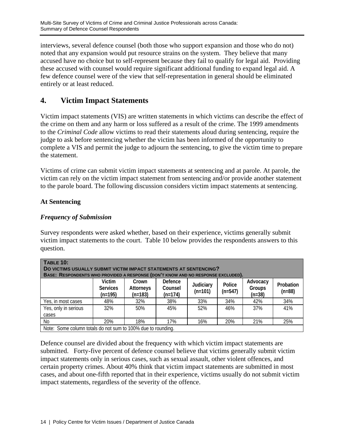interviews, several defence counsel (both those who support expansion and those who do not) noted that any expansion would put resource strains on the system. They believe that many accused have no choice but to self-represent because they fail to qualify for legal aid. Providing these accused with counsel would require significant additional funding to expand legal aid. A few defence counsel were of the view that self-representation in general should be eliminated entirely or at least reduced.

# **4. Victim Impact Statements**

Victim impact statements (VIS) are written statements in which victims can describe the effect of the crime on them and any harm or loss suffered as a result of the crime. The 1999 amendments to the *Criminal Code* allow victims to read their statements aloud during sentencing, require the judge to ask before sentencing whether the victim has been informed of the opportunity to complete a VIS and permit the judge to adjourn the sentencing, to give the victim time to prepare the statement.

Victims of crime can submit victim impact statements at sentencing and at parole. At parole, the victim can rely on the victim impact statement from sentencing and/or provide another statement to the parole board. The following discussion considers victim impact statements at sentencing.

#### **At Sentencing**

#### *Frequency of Submission*

Survey respondents were asked whether, based on their experience, victims generally submit victim impact statements to the court. Table 10 below provides the respondents answers to this question.

| <b>TABLE 10:</b><br>DO VICTIMS USUALLY SUBMIT VICTIM IMPACT STATEMENTS AT SENTENCING?<br>BASE: RESPONDENTS WHO PROVIDED A RESPONSE (DON'T KNOW AND NO RESPONSE EXCLUDED).                                   |     |     |     |     |     |     |           |  |
|-------------------------------------------------------------------------------------------------------------------------------------------------------------------------------------------------------------|-----|-----|-----|-----|-----|-----|-----------|--|
| Victim<br>Defence<br>Advocacy<br>Crown<br>Judiciary<br>Police<br>Counsel<br><b>Services</b><br>Attorneys<br>Groups<br>$(n=547)$<br>$(n=88)$<br>$(n=101)$<br>$(n=38)$<br>$(n=174)$<br>$(n=195)$<br>$(n=183)$ |     |     |     |     |     |     | Probation |  |
| Yes, in most cases                                                                                                                                                                                          | 48% | 32% | 38% | 33% | 34% | 42% | 34%       |  |
| Yes, only in serious<br>cases                                                                                                                                                                               | 32% | 50% | 45% | 52% | 46% | 37% | 41%       |  |
| No<br>20%<br>18%<br>17%<br>20%<br>16%<br>21%<br>25%                                                                                                                                                         |     |     |     |     |     |     |           |  |
| Note: Some column totals do not sum to 100% due to rounding.                                                                                                                                                |     |     |     |     |     |     |           |  |

Defence counsel are divided about the frequency with which victim impact statements are submitted. Forty-five percent of defence counsel believe that victims generally submit victim impact statements only in serious cases, such as sexual assault, other violent offences, and certain property crimes. About 40% think that victim impact statements are submitted in most cases, and about one-fifth reported that in their experience, victims usually do not submit victim impact statements, regardless of the severity of the offence.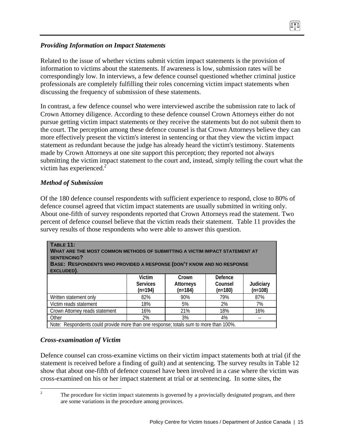#### *Providing Information on Impact Statements*

Related to the issue of whether victims submit victim impact statements is the provision of information to victims about the statements. If awareness is low, submission rates will be correspondingly low. In interviews, a few defence counsel questioned whether criminal justice professionals are completely fulfilling their roles concerning victim impact statements when discussing the frequency of submission of these statements.

In contrast, a few defence counsel who were interviewed ascribe the submission rate to lack of Crown Attorney diligence. According to these defence counsel Crown Attorneys either do not pursue getting victim impact statements or they receive the statements but do not submit them to the court. The perception among these defence counsel is that Crown Attorneys believe they can more effectively present the victim's interest in sentencing or that they view the victim impact statement as redundant because the judge has already heard the victim's testimony. Statements made by Crown Attorneys at one site support this perception; they reported not always submitting the victim impact statement to the court and, instead, simply telling the court what the victim has experienced. $^{2}$ 

#### *Method of Submission*

Of the 180 defence counsel respondents with sufficient experience to respond, close to 80% of defence counsel agreed that victim impact statements are usually submitted in writing only. About one-fifth of survey respondents reported that Crown Attorneys read the statement. Two percent of defence counsel believe that the victim reads their statement. Table 11 provides the survey results of those respondents who were able to answer this question.

| <b>TABLE 11:</b><br>WHAT ARE THE MOST COMMON METHODS OF SUBMITTING A VICTIM IMPACT STATEMENT AT<br><b>SENTENCING?</b><br>BASE: RESPONDENTS WHO PROVIDED A RESPONSE (DON'T KNOW AND NO RESPONSE<br>EXCLUDED). |                                        |                                        |                                 |                        |  |
|--------------------------------------------------------------------------------------------------------------------------------------------------------------------------------------------------------------|----------------------------------------|----------------------------------------|---------------------------------|------------------------|--|
|                                                                                                                                                                                                              | Victim<br><b>Services</b><br>$(n=194)$ | Crown<br><b>Attorneys</b><br>$(n=184)$ | Defence<br>Counsel<br>$(n=180)$ | Judiciary<br>$(n=108)$ |  |
| Written statement only                                                                                                                                                                                       | 82%                                    | 90%                                    | 79%                             | 87%                    |  |
| Victim reads statement                                                                                                                                                                                       | 18%                                    | 5%                                     | 2%                              | 7%                     |  |
| Crown Attorney reads statement                                                                                                                                                                               | 16%                                    | 21%                                    | 18%                             | 16%                    |  |
| Other                                                                                                                                                                                                        | 2%                                     | 3%                                     | 4%                              |                        |  |
| Note: Respondents could provide more than one response; totals sum to more than 100%.                                                                                                                        |                                        |                                        |                                 |                        |  |

## *Cross-examination of Victim*

 $\frac{1}{2}$ 

Defence counsel can cross-examine victims on their victim impact statements both at trial (if the statement is received before a finding of guilt) and at sentencing. The survey results in Table 12 show that about one-fifth of defence counsel have been involved in a case where the victim was cross-examined on his or her impact statement at trial or at sentencing. In some sites, the

 The procedure for victim impact statements is governed by a provincially designated program, and there are some variations in the procedure among provinces.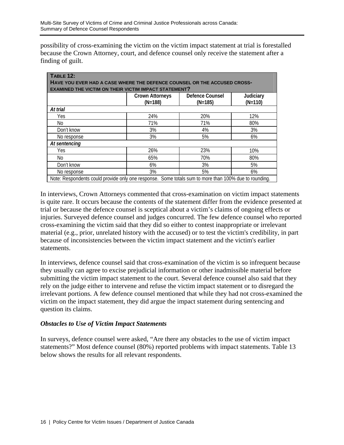possibility of cross-examining the victim on the victim impact statement at trial is forestalled because the Crown Attorney, court, and defence counsel only receive the statement after a finding of guilt.

| <b>TABLE 12:</b><br>HAVE YOU EVER HAD A CASE WHERE THE DEFENCE COUNSEL OR THE ACCUSED CROSS-<br><b>EXAMINED THE VICTIM ON THEIR VICTIM IMPACT STATEMENT?</b> |                                     |                              |                        |  |  |  |
|--------------------------------------------------------------------------------------------------------------------------------------------------------------|-------------------------------------|------------------------------|------------------------|--|--|--|
|                                                                                                                                                              | <b>Crown Attorneys</b><br>$(N=188)$ | Defence Counsel<br>$(N=185)$ | Judiciary<br>$(N=110)$ |  |  |  |
| At trial                                                                                                                                                     |                                     |                              |                        |  |  |  |
| Yes                                                                                                                                                          | 24%                                 | 20%                          | 12%                    |  |  |  |
| No                                                                                                                                                           | 71%                                 | 71%                          | 80%                    |  |  |  |
| Don't know                                                                                                                                                   | 3%                                  | 4%                           | 3%                     |  |  |  |
| No response                                                                                                                                                  | 3%                                  | 5%                           | 6%                     |  |  |  |
| At sentencing                                                                                                                                                |                                     |                              |                        |  |  |  |
| Yes                                                                                                                                                          | 26%                                 | 23%                          | 10%                    |  |  |  |
| No.                                                                                                                                                          | 65%                                 | 70%                          | 80%                    |  |  |  |
| Don't know                                                                                                                                                   | 6%                                  | 3%                           | 5%                     |  |  |  |
| No response                                                                                                                                                  | 3%                                  | 5%                           | 6%                     |  |  |  |
| Note: Respondents could provide only one response. Some totals sum to more than 100% due to rounding.                                                        |                                     |                              |                        |  |  |  |

In interviews, Crown Attorneys commented that cross-examination on victim impact statements is quite rare. It occurs because the contents of the statement differ from the evidence presented at trial or because the defence counsel is sceptical about a victim's claims of ongoing effects or injuries. Surveyed defence counsel and judges concurred. The few defence counsel who reported cross-examining the victim said that they did so either to contest inappropriate or irrelevant material (e.g., prior, unrelated history with the accused) or to test the victim's credibility, in part because of inconsistencies between the victim impact statement and the victim's earlier statements.

In interviews, defence counsel said that cross-examination of the victim is so infrequent because they usually can agree to excise prejudicial information or other inadmissible material before submitting the victim impact statement to the court. Several defence counsel also said that they rely on the judge either to intervene and refuse the victim impact statement or to disregard the irrelevant portions. A few defence counsel mentioned that while they had not cross-examined the victim on the impact statement, they did argue the impact statement during sentencing and question its claims.

#### *Obstacles to Use of Victim Impact Statements*

In surveys, defence counsel were asked, "Are there any obstacles to the use of victim impact statements?" Most defence counsel (80%) reported problems with impact statements. Table 13 below shows the results for all relevant respondents.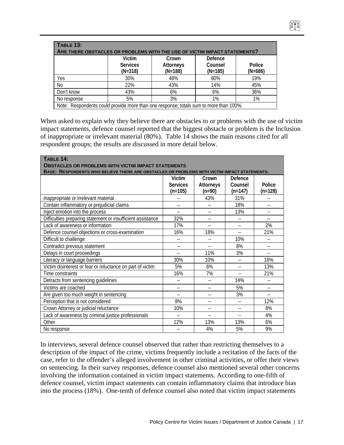| TABLE 13:<br>ARE THERE OBSTACLES OR PROBLEMS WITH THE USE OF VICTIM IMPACT STATEMENTS?                                              |     |     |     |     |  |  |
|-------------------------------------------------------------------------------------------------------------------------------------|-----|-----|-----|-----|--|--|
| Victim<br>Defence<br>Crown<br>Counsel<br><b>Services</b><br>Attorneys<br>Police<br>$(N=188)$<br>$(N=185)$<br>$(N=686)$<br>$(N=318)$ |     |     |     |     |  |  |
| Yes                                                                                                                                 | 30% | 48% | 80% | 19% |  |  |
| No                                                                                                                                  | 22% | 43% | 14% | 45% |  |  |
| Don't know                                                                                                                          | 43% | 6%  | 6%  | 36% |  |  |
| No response                                                                                                                         | 5%  | 3%  | 1%  | 1%  |  |  |
| Note: Respondents could provide more than one response; totals sum to more than 100%.                                               |     |     |     |     |  |  |

074

When asked to explain why they believe there are obstacles to or problems with the use of victim impact statements, defence counsel reported that the biggest obstacle or problem is the Inclusion of inappropriate or irrelevant material (80%). Table 14 shows the main reasons cited for all respondent groups; the results are discussed in more detail below.

| TABLE 14:<br><b>OBSTACLES OR PROBLEMS WITH VICTIM IMPACT STATEMENTS</b>                      |                 |                          |                |                |  |
|----------------------------------------------------------------------------------------------|-----------------|--------------------------|----------------|----------------|--|
| BASE: RESPONDENTS WHO BELIEVE THERE ARE OBSTACLES OR PROBLEMS WITH VICTIM IMPACT STATEMENTS. |                 |                          |                |                |  |
|                                                                                              | Victim          | Crown                    | Defence        |                |  |
|                                                                                              | <b>Services</b> | <b>Attorneys</b>         | Counsel        | Police         |  |
|                                                                                              | $(n=105)$       | $(n=90)$                 | $(n=147)$      | $(n=128)$      |  |
| Inappropriate or irrelevant material                                                         |                 | 43%                      | 31%            |                |  |
| Contain inflammatory or prejudicial claims                                                   | $-1$            |                          | 18%            |                |  |
| Inject emotion into the process                                                              |                 |                          | 13%            |                |  |
| Difficulties preparing statement or insufficient assistance                                  | 32%             |                          |                |                |  |
| Lack of awareness or information                                                             | 17%             |                          | $-$            | 2%             |  |
| Defence counsel objections or cross-examination                                              | 16%             | 18%                      |                | 21%            |  |
| Difficult to challenge                                                                       | $-$             |                          | 10%            |                |  |
| Contradict previous statement                                                                | $-1$            | $\overline{\phantom{a}}$ | 8%             |                |  |
| Delays in court proceedings                                                                  | $\overline{a}$  | 11%                      | 3%             | $\overline{a}$ |  |
| Literacy or language barriers                                                                | 30%             | 10%                      |                | 16%            |  |
| Victim disinterest or fear or reluctance on part of victim                                   | 5%              | 6%                       | $\overline{a}$ | 13%            |  |
| Time constraints                                                                             | 16%             | 7%                       | $\overline{a}$ | 21%            |  |
| Detracts from sentencing guidelines                                                          | --              | $-1$                     | 14%            |                |  |
| Victims are coached                                                                          | $-$             |                          | 5%             |                |  |
| Are given too much weight in sentencing                                                      | --              |                          | 3%             |                |  |
| Perception that is not considered                                                            | 8%              |                          |                | 12%            |  |
| Crown Attorney or judicial reluctance                                                        | 10%             |                          |                | 8%             |  |
| Lack of awareness by criminal justice professionals                                          | $\overline{a}$  |                          | $-$            | 4%             |  |
| Other                                                                                        | 12%             | 13%                      | 13%            | 6%             |  |
| No response                                                                                  | --              | 4%                       | 5%             | 9%             |  |

In interviews, several defence counsel observed that rather than restricting themselves to a description of the impact of the crime, victims frequently include a recitation of the facts of the case, refer to the offender's alleged involvement in other criminal activities, or offer their views on sentencing. In their survey responses, defence counsel also mentioned several other concerns involving the information contained in victim impact statements. According to one-fifth of defence counsel, victim impact statements can contain inflammatory claims that introduce bias into the process (18%). One-tenth of defence counsel also noted that victim impact statements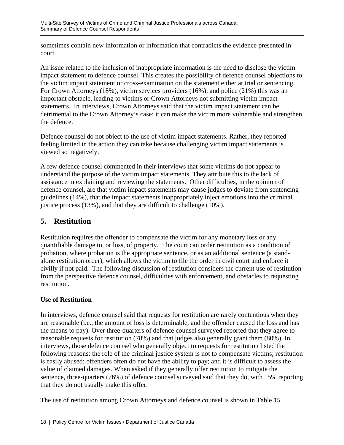sometimes contain new information or information that contradicts the evidence presented in court.

An issue related to the inclusion of inappropriate information is the need to disclose the victim impact statement to defence counsel. This creates the possibility of defence counsel objections to the victim impact statement or cross-examination on the statement either at trial or sentencing. For Crown Attorneys (18%), victim services providers (16%), and police (21%) this was an important obstacle, leading to victims or Crown Attorneys not submitting victim impact statements. In interviews, Crown Attorneys said that the victim impact statement can be detrimental to the Crown Attorney's case; it can make the victim more vulnerable and strengthen the defence.

Defence counsel do not object to the use of victim impact statements. Rather, they reported feeling limited in the action they can take because challenging victim impact statements is viewed so negatively.

A few defence counsel commented in their interviews that some victims do not appear to understand the purpose of the victim impact statements. They attribute this to the lack of assistance in explaining and reviewing the statements. Other difficulties, in the opinion of defence counsel, are that victim impact statements may cause judges to deviate from sentencing guidelines (14%), that the impact statements inappropriately inject emotions into the criminal justice process (13%), and that they are difficult to challenge (10%).

# **5. Restitution**

Restitution requires the offender to compensate the victim for any monetary loss or any quantifiable damage to, or loss, of property. The court can order restitution as a condition of probation, where probation is the appropriate sentence, or as an additional sentence (a standalone restitution order), which allows the victim to file the order in civil court and enforce it civilly if not paid. The following discussion of restitution considers the current use of restitution from the perspective defence counsel, difficulties with enforcement, and obstacles to requesting restitution.

## **Use of Restitution**

In interviews, defence counsel said that requests for restitution are rarely contentious when they are reasonable (i.e., the amount of loss is determinable, and the offender caused the loss and has the means to pay). Over three-quarters of defence counsel surveyed reported that they agree to reasonable requests for restitution (78%) and that judges also generally grant them (80%). In interviews, those defence counsel who generally object to requests for restitution listed the following reasons: the role of the criminal justice system is not to compensate victims; restitution is easily abused; offenders often do not have the ability to pay; and it is difficult to assess the value of claimed damages. When asked if they generally offer restitution to mitigate the sentence, three-quarters (76%) of defence counsel surveyed said that they do, with 15% reporting that they do not usually make this offer.

The use of restitution among Crown Attorneys and defence counsel is shown in Table 15.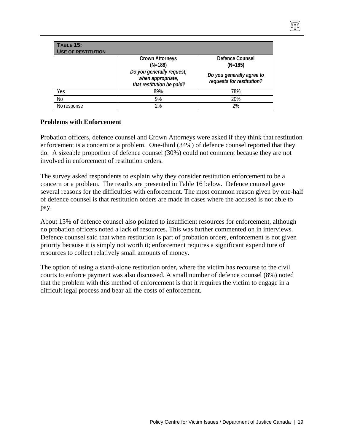| <b>TABLE 15:</b><br><b>USE OF RESTITUTION</b> |                                                                             |                                                        |
|-----------------------------------------------|-----------------------------------------------------------------------------|--------------------------------------------------------|
|                                               | <b>Crown Attorneys</b><br>$(N=188)$                                         | Defence Counsel<br>$(N=185)$                           |
|                                               | Do you generally request,<br>when appropriate,<br>that restitution be paid? | Do you generally agree to<br>requests for restitution? |
| Yes                                           | 89%                                                                         | 78%                                                    |
| No                                            | 9%                                                                          | 20%                                                    |
| No response                                   | 2%                                                                          | 2%                                                     |

## **Problems with Enforcement**

Probation officers, defence counsel and Crown Attorneys were asked if they think that restitution enforcement is a concern or a problem. One-third (34%) of defence counsel reported that they do. A sizeable proportion of defence counsel (30%) could not comment because they are not involved in enforcement of restitution orders.

The survey asked respondents to explain why they consider restitution enforcement to be a concern or a problem. The results are presented in Table 16 below. Defence counsel gave several reasons for the difficulties with enforcement. The most common reason given by one-half of defence counsel is that restitution orders are made in cases where the accused is not able to pay.

About 15% of defence counsel also pointed to insufficient resources for enforcement, although no probation officers noted a lack of resources. This was further commented on in interviews. Defence counsel said that when restitution is part of probation orders, enforcement is not given priority because it is simply not worth it; enforcement requires a significant expenditure of resources to collect relatively small amounts of money.

The option of using a stand-alone restitution order, where the victim has recourse to the civil courts to enforce payment was also discussed. A small number of defence counsel (8%) noted that the problem with this method of enforcement is that it requires the victim to engage in a difficult legal process and bear all the costs of enforcement.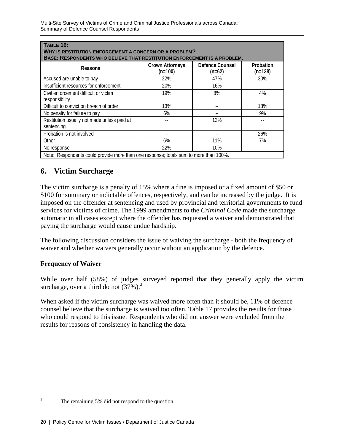| <b>TABLE 16:</b><br>WHY IS RESTITUTION ENFORCEMENT A CONCERN OR A PROBLEM?<br>BASE: RESPONDENTS WHO BELIEVE THAT RESTITUTION ENFORCEMENT IS A PROBLEM. |                                     |                             |                        |  |  |  |
|--------------------------------------------------------------------------------------------------------------------------------------------------------|-------------------------------------|-----------------------------|------------------------|--|--|--|
| Reasons                                                                                                                                                | <b>Crown Attorneys</b><br>$(n=100)$ | Defence Counsel<br>$(n=62)$ | Probation<br>$(n=128)$ |  |  |  |
| Accused are unable to pay                                                                                                                              | 22%                                 | 47%                         | 30%                    |  |  |  |
| Insufficient resources for enforcement                                                                                                                 | 20%                                 | 16%                         |                        |  |  |  |
| Civil enforcement difficult or victim<br>responsibility                                                                                                | 19%                                 | 8%                          | 4%                     |  |  |  |
| Difficult to convict on breach of order                                                                                                                | 13%                                 | --                          | 18%                    |  |  |  |
| No penalty for failure to pay                                                                                                                          | 6%                                  |                             | 9%                     |  |  |  |
| Restitution usually not made unless paid at<br>sentencing                                                                                              |                                     | 13%                         |                        |  |  |  |
| Probation is not involved                                                                                                                              |                                     |                             | 26%                    |  |  |  |
| Other                                                                                                                                                  | 6%                                  | 11%                         | 7%                     |  |  |  |
| No response                                                                                                                                            | 22%                                 | 10%                         |                        |  |  |  |
| Note: Respondents could provide more than one response; totals sum to more than 100%.                                                                  |                                     |                             |                        |  |  |  |

# **6. Victim Surcharge**

The victim surcharge is a penalty of 15% where a fine is imposed or a fixed amount of \$50 or \$100 for summary or indictable offences, respectively, and can be increased by the judge. It is imposed on the offender at sentencing and used by provincial and territorial governments to fund services for victims of crime. The 1999 amendments to the *Criminal Code* made the surcharge automatic in all cases except where the offender has requested a waiver and demonstrated that paying the surcharge would cause undue hardship.

The following discussion considers the issue of waiving the surcharge - both the frequency of waiver and whether waivers generally occur without an application by the defence.

## **Frequency of Waiver**

While over half (58%) of judges surveyed reported that they generally apply the victim surcharge, over a third do not  $(37\%)$ .<sup>3</sup>

When asked if the victim surcharge was waived more often than it should be, 11% of defence counsel believe that the surcharge is waived too often. Table 17 provides the results for those who could respond to this issue. Respondents who did not answer were excluded from the results for reasons of consistency in handling the data.

 $\frac{1}{3}$ 

The remaining 5% did not respond to the question.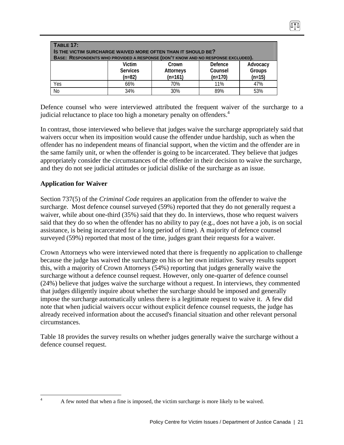| <b>TABLE 17:</b><br>IS THE VICTIM SURCHARGE WAIVED MORE OFTEN THAN IT SHOULD BE?<br>BASE: RESPONDENTS WHO PROVIDED A RESPONSE (DON'T KNOW AND NO RESPONSE EXCLUDED). |     |     |     |     |  |
|----------------------------------------------------------------------------------------------------------------------------------------------------------------------|-----|-----|-----|-----|--|
| Victim<br>Defence<br>Advocacy<br>Crown<br><b>Groups</b><br><b>Services</b><br>Counsel<br><b>Attorneys</b><br>$(n=82)$<br>$(n=15)$<br>$(n=161)$<br>$(n=170)$          |     |     |     |     |  |
| Yes                                                                                                                                                                  | 66% | 70% | 11% | 47% |  |
| N <sub>o</sub>                                                                                                                                                       | 34% | 30% | 89% | 53% |  |

Defence counsel who were interviewed attributed the frequent waiver of the surcharge to a judicial reluctance to place too high a monetary penalty on offenders.<sup>4</sup>

In contrast, those interviewed who believe that judges waive the surcharge appropriately said that waivers occur when its imposition would cause the offender undue hardship, such as when the offender has no independent means of financial support, when the victim and the offender are in the same family unit, or when the offender is going to be incarcerated. They believe that judges appropriately consider the circumstances of the offender in their decision to waive the surcharge, and they do not see judicial attitudes or judicial dislike of the surcharge as an issue.

## **Application for Waiver**

Section 737(5) of the *Criminal Code* requires an application from the offender to waive the surcharge. Most defence counsel surveyed (59%) reported that they do not generally request a waiver, while about one-third (35%) said that they do. In interviews, those who request waivers said that they do so when the offender has no ability to pay (e.g., does not have a job, is on social assistance, is being incarcerated for a long period of time). A majority of defence counsel surveyed (59%) reported that most of the time, judges grant their requests for a waiver.

Crown Attorneys who were interviewed noted that there is frequently no application to challenge because the judge has waived the surcharge on his or her own initiative. Survey results support this, with a majority of Crown Attorneys (54%) reporting that judges generally waive the surcharge without a defence counsel request. However, only one-quarter of defence counsel (24%) believe that judges waive the surcharge without a request. In interviews, they commented that judges diligently inquire about whether the surcharge should be imposed and generally impose the surcharge automatically unless there is a legitimate request to waive it. A few did note that when judicial waivers occur without explicit defence counsel requests, the judge has already received information about the accused's financial situation and other relevant personal circumstances.

Table 18 provides the survey results on whether judges generally waive the surcharge without a defence counsel request.

 $\frac{1}{4}$ 

A few noted that when a fine is imposed, the victim surcharge is more likely to be waived.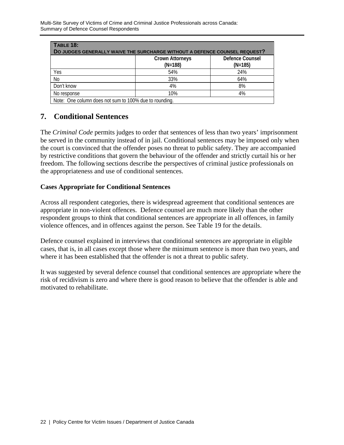| <b>TABLE 18:</b><br>DO JUDGES GENERALLY WAIVE THE SURCHARGE WITHOUT A DEFENCE COUNSEL REQUEST? |                                     |                                     |  |  |  |
|------------------------------------------------------------------------------------------------|-------------------------------------|-------------------------------------|--|--|--|
|                                                                                                | <b>Crown Attorneys</b><br>$(N=188)$ | <b>Defence Counsel</b><br>$(N=185)$ |  |  |  |
| Yes                                                                                            | 54%                                 | 24%                                 |  |  |  |
| N <sub>o</sub>                                                                                 | 33%                                 | 64%                                 |  |  |  |
| Don't know                                                                                     | 4%                                  | 8%                                  |  |  |  |
| No response                                                                                    | 10%                                 | 4%                                  |  |  |  |
| Note: One column does not sum to 100% due to rounding.                                         |                                     |                                     |  |  |  |

# **7. Conditional Sentences**

The *Criminal Code* permits judges to order that sentences of less than two years' imprisonment be served in the community instead of in jail. Conditional sentences may be imposed only when the court is convinced that the offender poses no threat to public safety. They are accompanied by restrictive conditions that govern the behaviour of the offender and strictly curtail his or her freedom. The following sections describe the perspectives of criminal justice professionals on the appropriateness and use of conditional sentences.

#### **Cases Appropriate for Conditional Sentences**

Across all respondent categories, there is widespread agreement that conditional sentences are appropriate in non-violent offences. Defence counsel are much more likely than the other respondent groups to think that conditional sentences are appropriate in all offences, in family violence offences, and in offences against the person. See Table 19 for the details.

Defence counsel explained in interviews that conditional sentences are appropriate in eligible cases, that is, in all cases except those where the minimum sentence is more than two years, and where it has been established that the offender is not a threat to public safety.

It was suggested by several defence counsel that conditional sentences are appropriate where the risk of recidivism is zero and where there is good reason to believe that the offender is able and motivated to rehabilitate.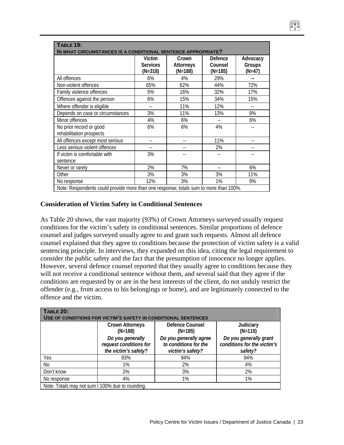| <b>TABLE 19:</b><br>IN WHAT CIRCUMSTANCES IS A CONDITIONAL SENTENCE APPROPRIATE? |                                                                                       |                                 |                                 |                              |  |  |  |
|----------------------------------------------------------------------------------|---------------------------------------------------------------------------------------|---------------------------------|---------------------------------|------------------------------|--|--|--|
|                                                                                  | Victim<br><b>Services</b><br>$(N=318)$                                                | Crown<br>Attorneys<br>$(N=188)$ | Defence<br>Counsel<br>$(N=185)$ | Advocacy<br>Groups<br>(N=47) |  |  |  |
| All offences                                                                     | 6%                                                                                    | 4%                              | 29%                             |                              |  |  |  |
| Non-violent offences                                                             | 65%                                                                                   | 62%                             | 44%                             | 72%                          |  |  |  |
| Family violence offences                                                         | 5%                                                                                    | 16%                             | 32%                             | 17%                          |  |  |  |
| Offences against the person                                                      | 6%                                                                                    | 15%                             | 34%                             | 15%                          |  |  |  |
| Where offender is eligible                                                       | $-1$                                                                                  | 11%                             | 12%                             | $-$                          |  |  |  |
| Depends on case or circumstances                                                 | 3%                                                                                    | 11%                             | 13%                             | 9%                           |  |  |  |
| Minor offences                                                                   | 4%                                                                                    | 6%                              |                                 | 6%                           |  |  |  |
| No prior record or good<br>rehabilitation prospects                              | 6%                                                                                    | 6%                              | 4%                              |                              |  |  |  |
| All offences except most serious                                                 |                                                                                       |                                 | 11%                             |                              |  |  |  |
| Less serious violent offences                                                    | $-$                                                                                   |                                 | 2%                              |                              |  |  |  |
| If victim is comfortable with                                                    | 3%                                                                                    |                                 |                                 |                              |  |  |  |
| sentence                                                                         |                                                                                       |                                 |                                 |                              |  |  |  |
| Never or rarely                                                                  | 2%                                                                                    | 7%                              | $-$                             | 6%                           |  |  |  |
| Other                                                                            | 3%                                                                                    | 3%                              | 3%                              | 11%                          |  |  |  |
| No response                                                                      | 12%                                                                                   | 3%                              | 1%                              | 9%                           |  |  |  |
|                                                                                  | Note: Respondents could provide more than one response; totals sum to more than 100%. |                                 |                                 |                              |  |  |  |

## **Consideration of Victim Safety in Conditional Sentences**

As Table 20 shows, the vast majority (93%) of Crown Attorneys surveyed usually request conditions for the victim's safety in conditional sentences. Similar proportions of defence counsel and judges surveyed usually agree to and grant such requests. Almost all defence counsel explained that they agree to conditions because the protection of victim safety is a valid sentencing principle. In interviews, they expanded on this idea, citing the legal requirement to consider the public safety and the fact that the presumption of innocence no longer applies. However, several defence counsel reported that they usually agree to conditions because they will not receive a conditional sentence without them, and several said that they agree if the conditions are requested by or are in the best interests of the client, do not unduly restrict the offender (e.g., from access to his belongings or home), and are legitimately connected to the offence and the victim.

| <b>TABLE 20:</b><br>USE OF CONDITIONS FOR VICTIM'S SAFETY IN CONDITIONAL SENTENCES |                                                                    |                                                                     |                                                                  |  |  |
|------------------------------------------------------------------------------------|--------------------------------------------------------------------|---------------------------------------------------------------------|------------------------------------------------------------------|--|--|
|                                                                                    | <b>Crown Attorneys</b><br>$(N=188)$                                | Defence Counsel<br>$(N=185)$                                        | Judiciary<br>$(N=110)$                                           |  |  |
|                                                                                    | Do you generally<br>request conditions for<br>the victim's safety? | Do you generally agree<br>to conditions for the<br>victim's safety? | Do you generally grant<br>conditions for the victim's<br>safety? |  |  |
| Yes                                                                                | 93%                                                                | 94%                                                                 | 94%                                                              |  |  |
| No                                                                                 | 1%                                                                 | 2%                                                                  | 4%                                                               |  |  |
| Don't know                                                                         | 2%                                                                 | 3%                                                                  | 2%                                                               |  |  |
| No response                                                                        | 4%                                                                 | 1%                                                                  | 1%                                                               |  |  |
| Note: Totals may not sum t 100% due to rounding.                                   |                                                                    |                                                                     |                                                                  |  |  |

074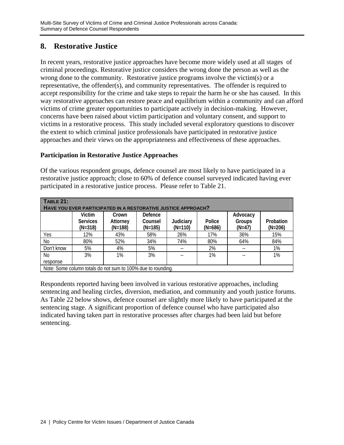# **8. Restorative Justice**

In recent years, restorative justice approaches have become more widely used at all stages of criminal proceedings. Restorative justice considers the wrong done the person as well as the wrong done to the community. Restorative justice programs involve the victim(s) or a representative, the offender(s), and community representatives. The offender is required to accept responsibility for the crime and take steps to repair the harm he or she has caused. In this way restorative approaches can restore peace and equilibrium within a community and can afford victims of crime greater opportunities to participate actively in decision-making. However, concerns have been raised about victim participation and voluntary consent, and support to victims in a restorative process. This study included several exploratory questions to discover the extent to which criminal justice professionals have participated in restorative justice approaches and their views on the appropriateness and effectiveness of these approaches.

## **Participation in Restorative Justice Approaches**

Of the various respondent groups, defence counsel are most likely to have participated in a restorative justice approach; close to 60% of defence counsel surveyed indicated having ever participated in a restorative justice process. Please refer to Table 21.

| <b>TABLE 21:</b><br>HAVE YOU EVER PARTICIPATED IN A RESTORATIVE JUSTICE APPROACH? |                                        |                                                              |                                 |                        |                     |                                |                        |
|-----------------------------------------------------------------------------------|----------------------------------------|--------------------------------------------------------------|---------------------------------|------------------------|---------------------|--------------------------------|------------------------|
|                                                                                   | Victim<br><b>Services</b><br>$(N=318)$ | Crown<br>Attorney<br>$(N=188)$                               | Defence<br>Counsel<br>$(N=185)$ | Judiciary<br>$(N=110)$ | Police<br>$(N=686)$ | Advocacy<br>Groups<br>$(N=47)$ | Probation<br>$(N=206)$ |
| Yes                                                                               | 12%                                    | 43%                                                          | 58%                             | 26%                    | 17%                 | 36%                            | 15%                    |
| No                                                                                | 80%                                    | 52%                                                          | 34%                             | 74%                    | 80%                 | 64%                            | 84%                    |
| Don't know                                                                        | 5%                                     | 4%                                                           | 5%                              | $- -$                  | 2%                  | $- -$                          | 1%                     |
| No.                                                                               | 3%                                     | 1%                                                           | 3%                              |                        | 1%                  | $\overline{\phantom{a}}$       | 1%                     |
| response                                                                          |                                        |                                                              |                                 |                        |                     |                                |                        |
|                                                                                   |                                        | Note: Some column totals do not sum to 100% due to rounding. |                                 |                        |                     |                                |                        |

Respondents reported having been involved in various restorative approaches, including sentencing and healing circles, diversion, mediation, and community and youth justice forums. As Table 22 below shows, defence counsel are slightly more likely to have participated at the sentencing stage. A significant proportion of defence counsel who have participated also indicated having taken part in restorative processes after charges had been laid but before sentencing.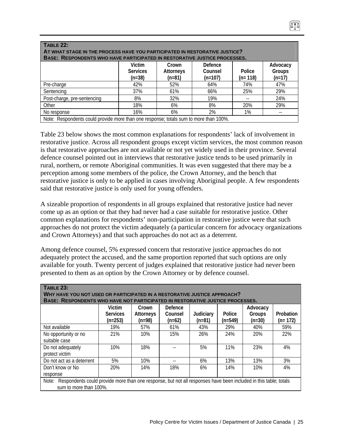| TABLE 22:<br>AT WHAT STAGE IN THE PROCESS HAVE YOU PARTICIPATED IN RESTORATIVE JUSTICE?<br><b>BASE: RESPONDENTS WHO HAVE PARTICIPATED IN RESTORATIVE JUSTICE PROCESSES.</b> |                                       |                                       |                                 |                     |                                |
|-----------------------------------------------------------------------------------------------------------------------------------------------------------------------------|---------------------------------------|---------------------------------------|---------------------------------|---------------------|--------------------------------|
|                                                                                                                                                                             | Victim<br><b>Services</b><br>$(n=38)$ | Crown<br><b>Attorneys</b><br>$(n=81)$ | Defence<br>Counsel<br>$(n=107)$ | Police<br>$(n=118)$ | Advocacy<br>Groups<br>$(n=17)$ |
| Pre-charge                                                                                                                                                                  | 42%                                   | 52%                                   | 64%                             | 74%                 | 47%                            |
| Sentencing                                                                                                                                                                  | 37%                                   | 61%                                   | 66%                             | 25%                 | 29%                            |
| Post-charge, pre-sentencing                                                                                                                                                 | 8%                                    | 32%                                   | 19%                             | $- -$               | 24%                            |
| Other                                                                                                                                                                       | 18%                                   | 6%                                    | 8%                              | 20%                 | 29%                            |
| No response                                                                                                                                                                 | 16%                                   | 6%                                    | 2%                              | 1%                  | $\overline{\phantom{a}}$       |
| Note: Respondents could provide more than one response; totals sum to more than 100%.                                                                                       |                                       |                                       |                                 |                     |                                |

Table 23 below shows the most common explanations for respondents' lack of involvement in restorative justice. Across all respondent groups except victim services, the most common reason is that restorative approaches are not available or not yet widely used in their province. Several defence counsel pointed out in interviews that restorative justice tends to be used primarily in rural, northern, or remote Aboriginal communities. It was even suggested that there may be a perception among some members of the police, the Crown Attorney, and the bench that restorative justice is only to be applied in cases involving Aboriginal people. A few respondents said that restorative justice is only used for young offenders.

A sizeable proportion of respondents in all groups explained that restorative justice had never come up as an option or that they had never had a case suitable for restorative justice. Other common explanations for respondents' non-participation in restorative justice were that such approaches do not protect the victim adequately (a particular concern for advocacy organizations and Crown Attorneys) and that such approaches do not act as a deterrent.

Among defence counsel, 5% expressed concern that restorative justice approaches do not adequately protect the accused, and the same proportion reported that such options are only available for youth. Twenty percent of judges explained that restorative justice had never been presented to them as an option by the Crown Attorney or by defence counsel.

| <b>TABLE 23:</b><br>WHY HAVE YOU NOT USED OR PARTICIPATED IN A RESTORATIVE JUSTICE APPROACH?<br>BASE: RESPONDENTS WHO HAVE NOT PARTICIPATED IN RESTORATIVE JUSTICE PROCESSES. |                                        |                                |                                       |                       |                     |                                |                        |
|-------------------------------------------------------------------------------------------------------------------------------------------------------------------------------|----------------------------------------|--------------------------------|---------------------------------------|-----------------------|---------------------|--------------------------------|------------------------|
|                                                                                                                                                                               | Victim<br><b>Services</b><br>$(n=253)$ | Crown<br>Attorneys<br>$(n=98)$ | <b>Defence</b><br>Counsel<br>$(n=62)$ | Judiciary<br>$(n=81)$ | Police<br>$(n=549)$ | Advocacy<br>Groups<br>$(n=30)$ | Probation<br>$(n=172)$ |
| Not available                                                                                                                                                                 | 19%                                    | 57%                            | 61%                                   | 43%                   | 29%                 | 40%                            | 59%                    |
| No opportunity or no<br>suitable case                                                                                                                                         | 21%                                    | 10%                            | 15%                                   | 26%                   | 24%                 | 20%                            | 22%                    |
| Do not adequately<br>protect victim                                                                                                                                           | 10%                                    | 18%                            |                                       | 5%                    | 11%                 | 23%                            | 4%                     |
| Do not act as a deterrent                                                                                                                                                     | 5%                                     | 10%                            | $\overline{\phantom{m}}$              | 6%                    | 13%                 | 13%                            | 3%                     |
| Don't know or No<br>response                                                                                                                                                  | 20%                                    | 14%                            | 18%                                   | 6%                    | 14%                 | 10%                            | 4%                     |
| Respondents could provide more than one response, but not all responses have been included in this table; totals<br>Note:<br>sum to more than 100%.                           |                                        |                                |                                       |                       |                     |                                |                        |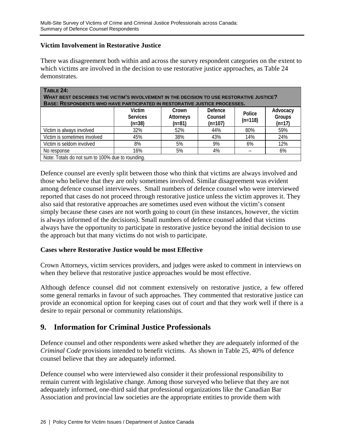#### **Victim Involvement in Restorative Justice**

There was disagreement both within and across the survey respondent categories on the extent to which victims are involved in the decision to use restorative justice approaches, as Table 24 demonstrates.

| <b>TABLE 24:</b><br><b>WHAT BEST DESCRIBES THE VICTIM'S INVOLVEMENT IN THE DECISION TO USE RESTORATIVE JUSTICE?</b><br><b>BASE: RESPONDENTS WHO HAVE PARTICIPATED IN RESTORATIVE JUSTICE PROCESSES.</b> |                                       |                                |                                 |                     |                                |
|---------------------------------------------------------------------------------------------------------------------------------------------------------------------------------------------------------|---------------------------------------|--------------------------------|---------------------------------|---------------------|--------------------------------|
|                                                                                                                                                                                                         | Victim<br><b>Services</b><br>$(n=38)$ | Crown<br>Attorneys<br>$(n=81)$ | Defence<br>Counsel<br>$(n=107)$ | Police<br>$(n=118)$ | Advocacy<br>Groups<br>$(n=17)$ |
| Victim is always involved                                                                                                                                                                               | 32%                                   | 52%                            | 44%                             | 80%                 | 59%                            |
| Victim is sometimes involved                                                                                                                                                                            | 45%                                   | 38%                            | 43%                             | 14%                 | 24%                            |
| Victim is seldom involved                                                                                                                                                                               | 8%                                    | 5%                             | 9%                              | 6%                  | 12%                            |
| No response                                                                                                                                                                                             | 16%                                   | 5%                             | 4%                              | $- -$               | 6%                             |
| Note: Totals do not sum to 100% due to rounding.                                                                                                                                                        |                                       |                                |                                 |                     |                                |

Defence counsel are evenly split between those who think that victims are always involved and those who believe that they are only sometimes involved. Similar disagreement was evident among defence counsel interviewees. Small numbers of defence counsel who were interviewed reported that cases do not proceed through restorative justice unless the victim approves it. They also said that restorative approaches are sometimes used even without the victim's consent simply because these cases are not worth going to court (in these instances, however, the victim is always informed of the decisions). Small numbers of defence counsel added that victims always have the opportunity to participate in restorative justice beyond the initial decision to use the approach but that many victims do not wish to participate.

#### **Cases where Restorative Justice would be most Effective**

Crown Attorneys, victim services providers, and judges were asked to comment in interviews on when they believe that restorative justice approaches would be most effective.

Although defence counsel did not comment extensively on restorative justice, a few offered some general remarks in favour of such approaches. They commented that restorative justice can provide an economical option for keeping cases out of court and that they work well if there is a desire to repair personal or community relationships.

# **9. Information for Criminal Justice Professionals**

Defence counsel and other respondents were asked whether they are adequately informed of the *Criminal Code* provisions intended to benefit victims. As shown in Table 25, 40% of defence counsel believe that they are adequately informed.

Defence counsel who were interviewed also consider it their professional responsibility to remain current with legislative change. Among those surveyed who believe that they are not adequately informed, one-third said that professional organizations like the Canadian Bar Association and provincial law societies are the appropriate entities to provide them with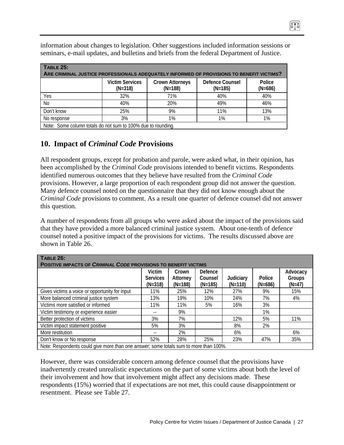| <b>TABLE 25:</b><br>ARE CRIMINAL JUSTICE PROFESSIONALS ADEQUATELY INFORMED OF PROVISIONS TO BENEFIT VICTIMS? |                                     |                                     |                              |                     |
|--------------------------------------------------------------------------------------------------------------|-------------------------------------|-------------------------------------|------------------------------|---------------------|
|                                                                                                              | <b>Victim Services</b><br>$(N=318)$ | <b>Crown Attorneys</b><br>$(N=188)$ | Defence Counsel<br>$(N=185)$ | Police<br>$(N=686)$ |
| Yes                                                                                                          | 32%                                 | 71%                                 | 40%                          | 40%                 |
| N <sub>0</sub>                                                                                               | 40%                                 | 20%                                 | 49%                          | 46%                 |
| Don't know                                                                                                   | 25%                                 | 9%                                  | 11%                          | 13%                 |
| No response                                                                                                  | 3%                                  | 1%                                  | 1%                           | 1%                  |
| Note: Some column totals do not sum to 100% due to rounding.                                                 |                                     |                                     |                              |                     |

information about changes to legislation. Other suggestions included information sessions or seminars, e-mail updates, and bulletins and briefs from the federal Department of Justice.

## **10. Impact of** *Criminal Code* **Provisions**

All respondent groups, except for probation and parole, were asked what, in their opinion, has been accomplished by the *Criminal Code* provisions intended to benefit victims. Respondents identified numerous outcomes that they believe have resulted from the *Criminal Code* provisions. However, a large proportion of each respondent group did not answer the question. Many defence counsel noted on the questionnaire that they did not know enough about the *Criminal Code* provisions to comment. As a result one quarter of defence counsel did not answer this question.

A number of respondents from all groups who were asked about the impact of the provisions said that they have provided a more balanced criminal justice system. About one-tenth of defence counsel noted a positive impact of the provisions for victims. The results discussed above are shown in Table 26.

| TABLE 26:<br>POSITIVE IMPACTS OF CRIMINAL CODE PROVISIONS TO BENEFIT VICTIMS          |                                        |                                |                                 |                        |                     |                                |
|---------------------------------------------------------------------------------------|----------------------------------------|--------------------------------|---------------------------------|------------------------|---------------------|--------------------------------|
|                                                                                       | Victim<br><b>Services</b><br>$(N=318)$ | Crown<br>Attorney<br>$(N=188)$ | Defence<br>Counsel<br>$(N=185)$ | Judiciary<br>$(N=110)$ | Police<br>$(N=686)$ | Advocacy<br>Groups<br>$(N=47)$ |
| Gives victims a voice or opportunity for input                                        | 11%                                    | 25%                            | 12%                             | 27%                    | 9%                  | 15%                            |
| More balanced criminal justice system                                                 | 13%                                    | 19%                            | 10%                             | 24%                    | 7%                  | 4%                             |
| Victims more satisfied or informed                                                    | 11%                                    | 11%                            | 5%                              | 16%                    | 3%                  |                                |
| Victim testimony or experience easier                                                 |                                        | 9%                             |                                 |                        | 1%                  |                                |
| Better protection of victims                                                          | 3%                                     | 7%                             |                                 | 12%                    | 5%                  | 11%                            |
| Victim impact statement positive                                                      | 5%                                     | 3%                             |                                 | 8%                     | 2%                  |                                |
| More restitution                                                                      |                                        | 2%                             |                                 | 6%                     |                     | 6%                             |
| Don't know or No response                                                             | 52%                                    | 28%                            | 25%                             | 23%                    | 47%                 | 35%                            |
| Note: Respondents could give more than one answer; some totals sum to more than 100%. |                                        |                                |                                 |                        |                     |                                |

However, there was considerable concern among defence counsel that the provisions have inadvertently created unrealistic expectations on the part of some victims about both the level of their involvement and how that involvement might affect any decisions made. These respondents (15%) worried that if expectations are not met, this could cause disappointment or resentment. Please see Table 27.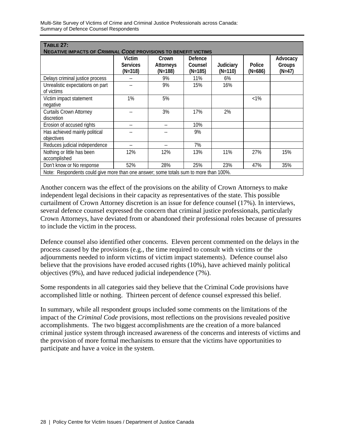| <b>TABLE 27:</b>                                                                      |                                        |                                 |                                      |                        |                     |                                |
|---------------------------------------------------------------------------------------|----------------------------------------|---------------------------------|--------------------------------------|------------------------|---------------------|--------------------------------|
| <b>NEGATIVE IMPACTS OF CRIMINAL CODE PROVISIONS TO BENEFIT VICTIMS</b>                | Victim<br><b>Services</b><br>$(N=318)$ | Crown<br>Attorneys<br>$(N=188)$ | <b>Defence</b><br>Counsel<br>(N=185) | Judiciary<br>$(N=110)$ | Police<br>$(N=686)$ | Advocacy<br>Groups<br>$(N=47)$ |
| Delays criminal justice process                                                       |                                        | 9%                              | 11%                                  | 6%                     |                     |                                |
| Unrealistic expectations on part<br>of victims                                        |                                        | 9%                              | 15%                                  | 16%                    |                     |                                |
| Victim impact statement<br>negative                                                   | 1%                                     | 5%                              |                                      |                        | $< 1\%$             |                                |
| <b>Curtails Crown Attorney</b><br>discretion                                          |                                        | 3%                              | 17%                                  | 2%                     |                     |                                |
| Erosion of accused rights                                                             |                                        |                                 | 10%                                  |                        |                     |                                |
| Has achieved mainly political<br>objectives                                           |                                        |                                 | 9%                                   |                        |                     |                                |
| Reduces judicial independence                                                         |                                        |                                 | 7%                                   |                        |                     |                                |
| Nothing or little has been<br>accomplished                                            | 12%                                    | 12%                             | 13%                                  | 11%                    | 27%                 | 15%                            |
| Don't know or No response                                                             | 52%                                    | 28%                             | 25%                                  | 23%                    | 47%                 | 35%                            |
| Note: Respondents could give more than one answer; some totals sum to more than 100%. |                                        |                                 |                                      |                        |                     |                                |

Another concern was the effect of the provisions on the ability of Crown Attorneys to make independent legal decisions in their capacity as representatives of the state. This possible curtailment of Crown Attorney discretion is an issue for defence counsel (17%). In interviews, several defence counsel expressed the concern that criminal justice professionals, particularly Crown Attorneys, have deviated from or abandoned their professional roles because of pressures to include the victim in the process.

Defence counsel also identified other concerns. Eleven percent commented on the delays in the process caused by the provisions (e.g., the time required to consult with victims or the adjournments needed to inform victims of victim impact statements). Defence counsel also believe that the provisions have eroded accused rights (10%), have achieved mainly political objectives (9%), and have reduced judicial independence (7%).

Some respondents in all categories said they believe that the Criminal Code provisions have accomplished little or nothing. Thirteen percent of defence counsel expressed this belief.

In summary, while all respondent groups included some comments on the limitations of the impact of the *Criminal Code* provisions, most reflections on the provisions revealed positive accomplishments. The two biggest accomplishments are the creation of a more balanced criminal justice system through increased awareness of the concerns and interests of victims and the provision of more formal mechanisms to ensure that the victims have opportunities to participate and have a voice in the system.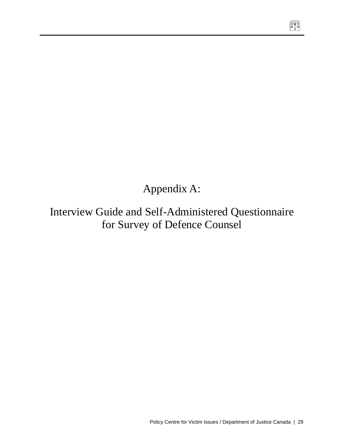Appendix A:

Interview Guide and Self-Administered Questionnaire for Survey of Defence Counsel

 $\sqrt{10}$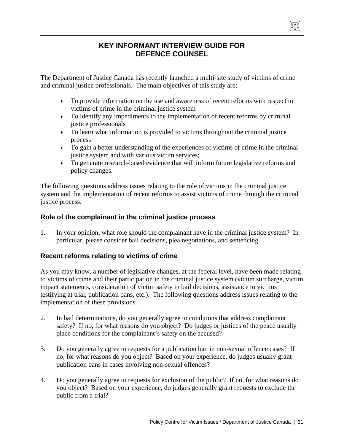# **KEY INFORMANT INTERVIEW GUIDE FOR DEFENCE COUNSEL**

The Department of Justice Canada has recently launched a multi-site study of victims of crime and criminal justice professionals. The main objectives of this study are:

- $\triangleright$  To provide information on the use and awareness of recent reforms with respect to victims of crime in the criminal justice system
- $\triangleright$  To identify any impediments to the implementation of recent reforms by criminal justice professionals
- $\triangleright$  To learn what information is provided to victims throughout the criminal justice process
- $\triangleright$  To gain a better understanding of the experiences of victims of crime in the criminal justice system and with various victim services;
- $\triangleright$  To generate research-based evidence that will inform future legislative reforms and policy changes.

The following questions address issues relating to the role of victims in the criminal justice system and the implementation of recent reforms to assist victims of crime through the criminal justice process.

## **Role of the complainant in the criminal justice process**

1. In your opinion, what role should the complainant have in the criminal justice system? In particular, please consider bail decisions, plea negotiations, and sentencing.

## **Recent reforms relating to victims of crime**

As you may know, a number of legislative changes, at the federal level, have been made relating to victims of crime and their participation in the criminal justice system (victim surcharge, victim impact statements, consideration of victim safety in bail decisions, assistance to victims testifying at trial, publication bans, etc.). The following questions address issues relating to the implementation of these provisions.

- 2. In bail determinations, do you generally agree to conditions that address complainant safety? If no, for what reasons do you object? Do judges or justices of the peace usually place conditions for the complainant's safety on the accused?
- 3. Do you generally agree to requests for a publication ban in non-sexual offence cases? If no, for what reasons do you object? Based on your experience, do judges usually grant publication bans in cases involving non-sexual offences?
- 4. Do you generally agree to requests for exclusion of the public? If no, for what reasons do you object? Based on your experience, do judges generally grant requests to exclude the public from a trial?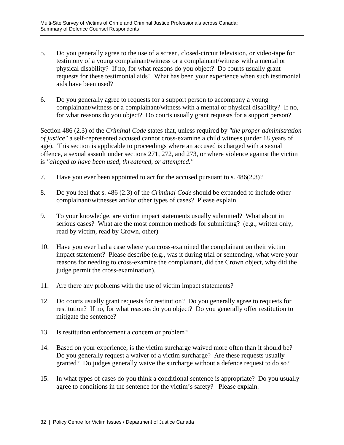- 5. Do you generally agree to the use of a screen, closed-circuit television, or video-tape for testimony of a young complainant/witness or a complainant/witness with a mental or physical disability? If no, for what reasons do you object? Do courts usually grant requests for these testimonial aids? What has been your experience when such testimonial aids have been used?
- 6. Do you generally agree to requests for a support person to accompany a young complainant/witness or a complainant/witness with a mental or physical disability? If no, for what reasons do you object? Do courts usually grant requests for a support person?

Section 486 (2.3) of the *Criminal Code* states that, unless required by *"the proper administration of justice"* a self-represented accused cannot cross-examine a child witness (under 18 years of age). This section is applicable to proceedings where an accused is charged with a sexual offence, a sexual assault under sections 271, 272, and 273, or where violence against the victim is *"alleged to have been used, threatened, or attempted."*

- 7. Have you ever been appointed to act for the accused pursuant to s. 486(2.3)?
- 8. Do you feel that s. 486 (2.3) of the *Criminal Code* should be expanded to include other complainant/witnesses and/or other types of cases? Please explain.
- 9. To your knowledge, are victim impact statements usually submitted? What about in serious cases? What are the most common methods for submitting? (e.g., written only, read by victim, read by Crown, other)
- 10. Have you ever had a case where you cross-examined the complainant on their victim impact statement? Please describe (e.g., was it during trial or sentencing, what were your reasons for needing to cross-examine the complainant, did the Crown object, why did the judge permit the cross-examination).
- 11. Are there any problems with the use of victim impact statements?
- 12. Do courts usually grant requests for restitution? Do you generally agree to requests for restitution? If no, for what reasons do you object? Do you generally offer restitution to mitigate the sentence?
- 13. Is restitution enforcement a concern or problem?
- 14. Based on your experience, is the victim surcharge waived more often than it should be? Do you generally request a waiver of a victim surcharge? Are these requests usually granted? Do judges generally waive the surcharge without a defence request to do so?
- 15. In what types of cases do you think a conditional sentence is appropriate? Do you usually agree to conditions in the sentence for the victim's safety? Please explain.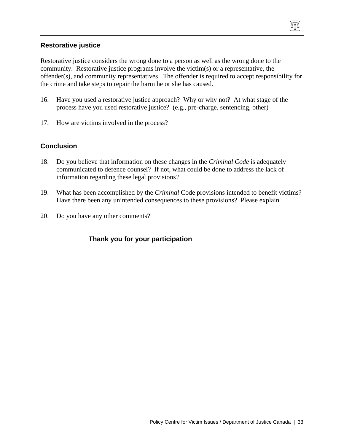#### **Restorative justice**

Restorative justice considers the wrong done to a person as well as the wrong done to the community. Restorative justice programs involve the victim(s) or a representative, the offender(s), and community representatives. The offender is required to accept responsibility for the crime and take steps to repair the harm he or she has caused.

074

- 16. Have you used a restorative justice approach? Why or why not? At what stage of the process have you used restorative justice? (e.g., pre-charge, sentencing, other)
- 17. How are victims involved in the process?

#### **Conclusion**

- 18. Do you believe that information on these changes in the *Criminal Code* is adequately communicated to defence counsel? If not, what could be done to address the lack of information regarding these legal provisions?
- 19. What has been accomplished by the *Criminal* Code provisions intended to benefit victims? Have there been any unintended consequences to these provisions? Please explain.
- 20. Do you have any other comments?

## **Thank you for your participation**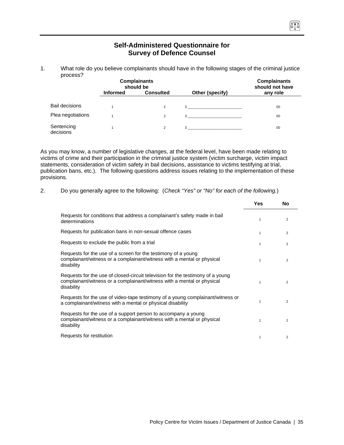| process?                |                 | <b>Complainants</b><br>should be |                                | <b>Complainants</b><br>should not have |
|-------------------------|-----------------|----------------------------------|--------------------------------|----------------------------------------|
|                         | <b>Informed</b> | <b>Consulted</b>                 | Other (specify)                | any role                               |
| <b>Bail decisions</b>   |                 | $\overline{2}$                   | $3 \left( \frac{1}{2} \right)$ | 00                                     |
| Plea negotiations       |                 | $\overline{2}$                   | 3                              | 00                                     |
| Sentencing<br>decisions |                 | $\overline{2}$                   | 3                              | 00                                     |

#### **Self-Administered Questionnaire for Survey of Defence Counsel**

1. What role do you believe complainants should have in the following stages of the criminal justice

As you may know, a number of legislative changes, at the federal level, have been made relating to victims of crime and their participation in the criminal justice system (victim surcharge, victim impact statements, consideration of victim safety in bail decisions, assistance to victims testifying at trial, publication bans, etc.). The following questions address issues relating to the implementation of these provisions.

|  | Do you generally agree to the following: (Check "Yes" or "No" for each of the following.) |
|--|-------------------------------------------------------------------------------------------|
|  |                                                                                           |

|                                                                                                                                                                        | Yes          | No             |
|------------------------------------------------------------------------------------------------------------------------------------------------------------------------|--------------|----------------|
| Requests for conditions that address a complainant's safety made in bail<br>determinations                                                                             | $\mathbf{1}$ | 2              |
| Requests for publication bans in non-sexual offence cases                                                                                                              | 1            | 2              |
| Requests to exclude the public from a trial                                                                                                                            | $\mathbf{1}$ | $\overline{2}$ |
| Requests for the use of a screen for the testimony of a young<br>complainant/witness or a complainant/witness with a mental or physical<br>disability                  | $\mathbf{1}$ | 2              |
| Requests for the use of closed-circuit television for the testimony of a young<br>complainant/witness or a complainant/witness with a mental or physical<br>disability | $\mathbf{1}$ | 2              |
| Requests for the use of video-tape testimony of a young complainant/witness or<br>a complainant/witness with a mental or physical disability                           | $\mathbf{1}$ | $\overline{2}$ |
| Requests for the use of a support person to accompany a young<br>complainant/witness or a complainant/witness with a mental or physical<br>disability                  | 1            | 2              |
| Requests for restitution                                                                                                                                               | 1            | 2              |

(ATA)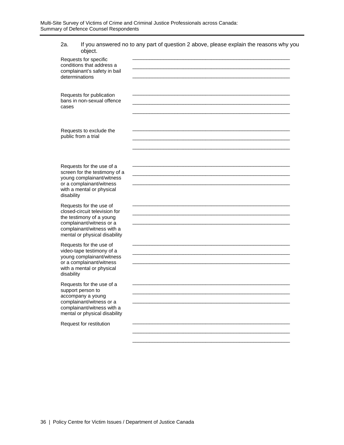| 2a.<br>object.                                                                                                                                                                  | If you answered no to any part of question 2 above, please explain the reasons why you                              |
|---------------------------------------------------------------------------------------------------------------------------------------------------------------------------------|---------------------------------------------------------------------------------------------------------------------|
| Requests for specific<br>conditions that address a<br>complainant's safety in bail<br>determinations                                                                            |                                                                                                                     |
| Requests for publication<br>bans in non-sexual offence<br>cases                                                                                                                 | <u> 1989 - Johann John Stoff, deutscher Stoffen und der Stoffen und der Stoffen und der Stoffen und der Stoffen</u> |
| Requests to exclude the<br>public from a trial                                                                                                                                  |                                                                                                                     |
| Requests for the use of a<br>screen for the testimony of a<br>young complainant/witness<br>or a complainant/witness<br>with a mental or physical<br>disability                  | and the control of the control of the control of the control of the control of the control of the control of the    |
| Requests for the use of<br>closed-circuit television for<br>the testimony of a young<br>complainant/witness or a<br>complainant/witness with a<br>mental or physical disability |                                                                                                                     |
| Requests for the use of<br>video-tape testimony of a<br>young complainant/witness<br>or a complainant/witness<br>with a mental or physical<br>disability                        | <u> 1980 - Johann John Stone, mars eta biztanleria (h. 1980).</u>                                                   |
| Requests for the use of a<br>support person to<br>accompany a young<br>complainant/witness or a<br>complainant/witness with a<br>mental or physical disability                  |                                                                                                                     |
| Request for restitution                                                                                                                                                         |                                                                                                                     |
|                                                                                                                                                                                 |                                                                                                                     |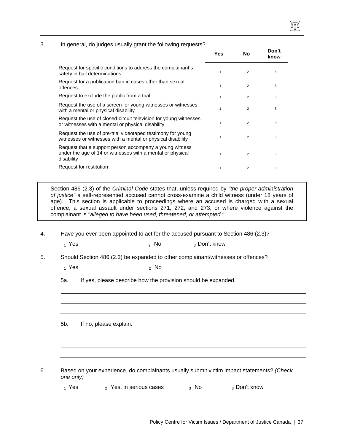#### 3. In general, do judges usually grant the following requests?

|                                                                                                                                     | Yes | No             | Don't<br>know |
|-------------------------------------------------------------------------------------------------------------------------------------|-----|----------------|---------------|
| Request for specific conditions to address the complainant's<br>safety in bail determinations                                       | 1   | $\overline{2}$ | 8             |
| Request for a publication ban in cases other than sexual<br>offences                                                                | 1   | $\overline{2}$ | 8             |
| Request to exclude the public from a trial                                                                                          |     | $\overline{2}$ | 8             |
| Request the use of a screen for young witnesses or witnesses<br>with a mental or physical disability                                |     | $\overline{2}$ | 8             |
| Request the use of closed-circuit television for young witnesses<br>or witnesses with a mental or physical disability               |     | $\overline{2}$ | 8             |
| Request the use of pre-trial videotaped testimony for young<br>witnesses or witnesses with a mental or physical disability          | 1   | $\overline{2}$ | 8             |
| Request that a support person accompany a young witness<br>under the age of 14 or witnesses with a mental or physical<br>disability | 1   | $\overline{2}$ | 8             |
| Request for restitution                                                                                                             | 1   | $\overline{2}$ | 8             |

Section 486 (2.3) of the *Criminal Code* states that, unless required by *"the proper administration of justice"* a self-represented accused cannot cross-examine a child witness (under 18 years of age). This section is applicable to proceedings where an accused is charged with a sexual offence, a sexual assault under sections 271, 272, and 273, or where violence against the complainant is *"alleged to have been used, threatened, or attempted."*

- 4. Have you ever been appointed to act for the accused pursuant to Section 486 (2.3)?
	- $_1$  Yes  $_2$  No  $_8$  Don't know
- 5. Should Section 486 (2.3) be expanded to other complainant/witnesses or offences?
	-
	- $_1$  Yes  $_2$  No
	- 5a. If yes, please describe how the provision should be expanded.

5b. If no, please explain.

- 6. Based on your experience, do complainants usually submit victim impact statements? *(Check one only)*
	- $_1$  Yes  $_2$  Yes, in serious cases  $_3$  No  $_8$  Don't know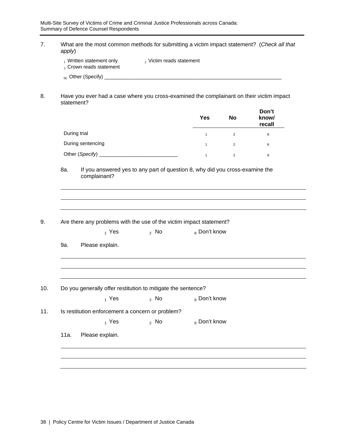| apply)     | What are the most common methods for submitting a victim impact statement? (Check all that             |                             |                                                                              |                |                          |
|------------|--------------------------------------------------------------------------------------------------------|-----------------------------|------------------------------------------------------------------------------|----------------|--------------------------|
|            | $_1$ Written statement only<br>3 Crown reads statement                                                 | $_2$ Victim reads statement |                                                                              |                |                          |
|            |                                                                                                        |                             |                                                                              |                |                          |
|            | Have you ever had a case where you cross-examined the complainant on their victim impact<br>statement? |                             |                                                                              |                |                          |
|            |                                                                                                        |                             | <b>Yes</b>                                                                   | <b>No</b>      | Don't<br>know/<br>recall |
|            | During trial                                                                                           |                             | $\mathbf{1}$                                                                 | $\overline{2}$ | 8                        |
|            | During sentencing                                                                                      |                             | $\mathbf{1}$                                                                 | $\overline{2}$ | 8                        |
|            |                                                                                                        |                             | $\mathbf{1}$                                                                 | $\sqrt{2}$     | 8                        |
|            | complainant?                                                                                           |                             | If you answered yes to any part of question 8, why did you cross-examine the |                |                          |
|            | Are there any problems with the use of the victim impact statement?<br>$_1$ Yes                        | $2$ No                      | 8 Don't know                                                                 |                |                          |
|            | Please explain.                                                                                        |                             |                                                                              |                |                          |
| 8a.<br>9a. | Do you generally offer restitution to mitigate the sentence?                                           |                             |                                                                              |                |                          |
|            | $1$ Yes                                                                                                | $2$ No                      | <sub>8</sub> Don't know                                                      |                |                          |
|            | Is restitution enforcement a concern or problem?                                                       |                             |                                                                              |                |                          |
|            | $_1$ Yes                                                                                               | $2$ No                      | 8 Don't know                                                                 |                |                          |
| 11a.       | Please explain.                                                                                        |                             |                                                                              |                |                          |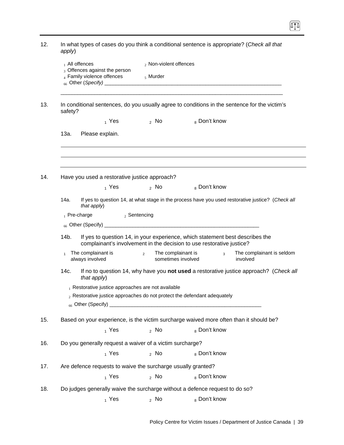| $_1$ All offences                                        | 3 Offences against the person<br>4 Family violence offences  | 2 Non-violent offences<br>$5$ Murder                       |                                                                                                                                                        |                                       |
|----------------------------------------------------------|--------------------------------------------------------------|------------------------------------------------------------|--------------------------------------------------------------------------------------------------------------------------------------------------------|---------------------------------------|
| safety?                                                  |                                                              |                                                            | In conditional sentences, do you usually agree to conditions in the sentence for the victim's                                                          |                                       |
|                                                          | $_1$ Yes                                                     | $_2$ No $-$                                                | 8 Don't know                                                                                                                                           |                                       |
| 13a.                                                     | Please explain.                                              |                                                            |                                                                                                                                                        |                                       |
|                                                          |                                                              |                                                            |                                                                                                                                                        |                                       |
|                                                          | Have you used a restorative justice approach?<br>$_1$ Yes    | $\lambda$ No $\lambda$                                     | 8 Don't know                                                                                                                                           |                                       |
| 14a.                                                     |                                                              |                                                            | If yes to question 14, at what stage in the process have you used restorative justice? (Check all                                                      |                                       |
| that apply)                                              |                                                              |                                                            |                                                                                                                                                        |                                       |
| $_1$ Pre-charge                                          |                                                              | 2 Sentencing                                               |                                                                                                                                                        |                                       |
|                                                          |                                                              |                                                            |                                                                                                                                                        |                                       |
| 14b.                                                     |                                                              |                                                            | If yes to question 14, in your experience, which statement best describes the<br>complainant's involvement in the decision to use restorative justice? |                                       |
| The complainant is<br>$\mathbf{1}$<br>always involved    |                                                              | The complainant is<br>$\overline{2}$<br>sometimes involved | $3^{\circ}$                                                                                                                                            | The complainant is seldom<br>involved |
| 14c.                                                     | that apply)                                                  |                                                            | If no to question 14, why have you not used a restorative justice approach? (Check all                                                                 |                                       |
|                                                          | $_1$ Restorative justice approaches are not available        |                                                            | $_2$ Restorative justice approaches do not protect the defendant adequately                                                                            |                                       |
|                                                          |                                                              |                                                            | Based on your experience, is the victim surcharge waived more often than it should be?                                                                 |                                       |
|                                                          | $_1$ Yes                                                     | $2$ No                                                     | <sub>8</sub> Don't know                                                                                                                                |                                       |
|                                                          |                                                              |                                                            |                                                                                                                                                        |                                       |
| Do you generally request a waiver of a victim surcharge? |                                                              |                                                            |                                                                                                                                                        |                                       |
|                                                          | $_1$ Yes                                                     | 2 NQ                                                       | 8 Don't know                                                                                                                                           |                                       |
|                                                          | Are defence requests to waive the surcharge usually granted? |                                                            |                                                                                                                                                        |                                       |

 $\boxed{1}$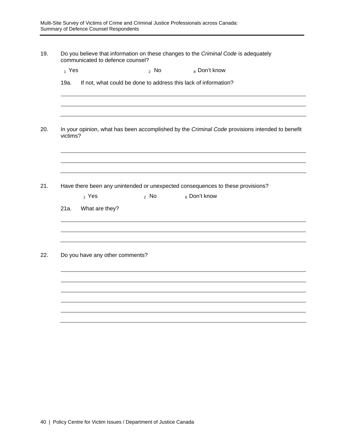| 19. | Do you believe that information on these changes to the Criminal Code is adequately |
|-----|-------------------------------------------------------------------------------------|
|     | communicated to defence counsel?                                                    |

| 1 Yes | <sub>2</sub> No | $_8$ Don't know |
|-------|-----------------|-----------------|
|       |                 |                 |

| 19a. | If not, what could be done to address this lack of information? |
|------|-----------------------------------------------------------------|
|------|-----------------------------------------------------------------|

20. In your opinion, what has been accomplished by the *Criminal Code* provisions intended to benefit victims?

21. Have there been any unintended or unexpected consequences to these provisions?

|      | $_1$ Yes                        | $2$ No | 8 Don't know |  |
|------|---------------------------------|--------|--------------|--|
| 21a. | What are they?                  |        |              |  |
|      |                                 |        |              |  |
|      |                                 |        |              |  |
|      |                                 |        |              |  |
|      | Do you have any other comments? |        |              |  |
|      |                                 |        |              |  |
|      |                                 |        |              |  |